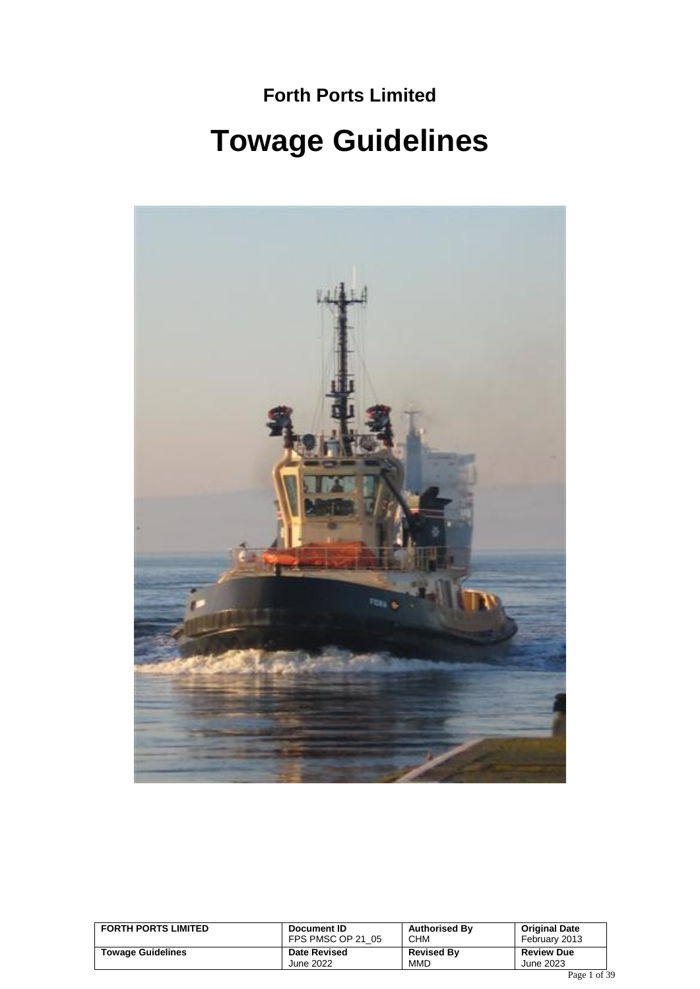# **Forth Ports Limited Towage Guidelines**



| <b>FORTH PORTS LIMITED</b> | Document ID         | <b>Authorised By</b> | <b>Original Date</b> |
|----------------------------|---------------------|----------------------|----------------------|
|                            | FPS PMSC OP 21 05   | CHM                  | February 2013        |
| <b>Towage Guidelines</b>   | <b>Date Revised</b> | <b>Revised By</b>    | <b>Review Due</b>    |
|                            | June 2022           | <b>MMD</b>           | June 2023            |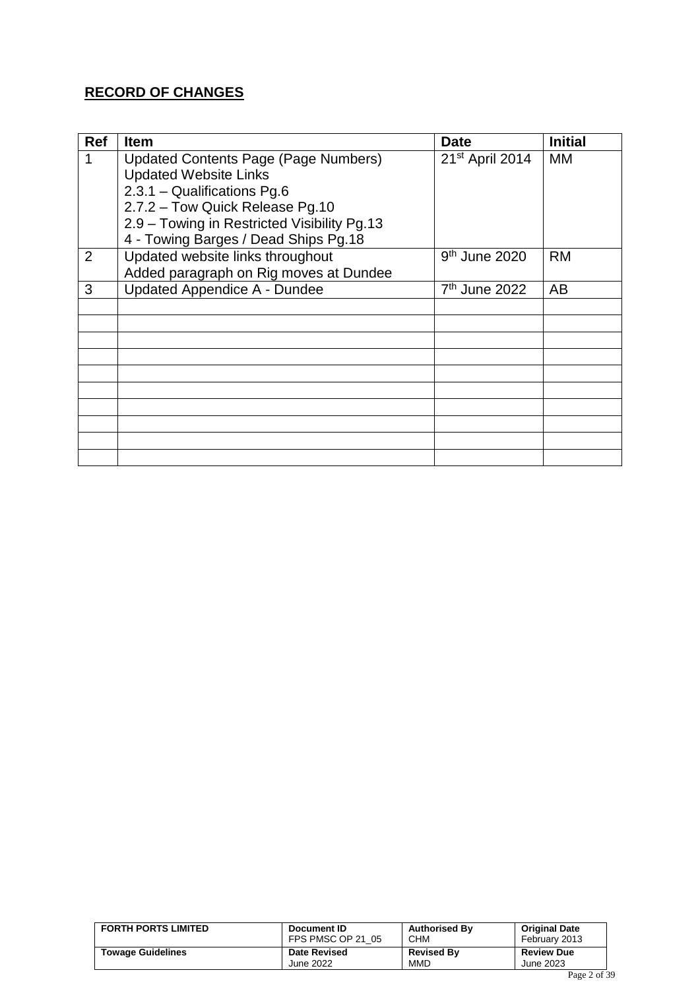### **RECORD OF CHANGES**

| <b>Ref</b>     | <b>Item</b>                                 | <b>Date</b>               | <b>Initial</b> |
|----------------|---------------------------------------------|---------------------------|----------------|
|                | <b>Updated Contents Page (Page Numbers)</b> | 21st April 2014           | MM             |
|                | <b>Updated Website Links</b>                |                           |                |
|                | 2.3.1 - Qualifications Pg.6                 |                           |                |
|                | 2.7.2 - Tow Quick Release Pg.10             |                           |                |
|                | 2.9 - Towing in Restricted Visibility Pg.13 |                           |                |
|                | 4 - Towing Barges / Dead Ships Pg.18        |                           |                |
| $\overline{2}$ | Updated website links throughout            | $9th$ June 2020           | <b>RM</b>      |
|                | Added paragraph on Rig moves at Dundee      |                           |                |
| 3              | <b>Updated Appendice A - Dundee</b>         | 7 <sup>th</sup> June 2022 | AB             |
|                |                                             |                           |                |
|                |                                             |                           |                |
|                |                                             |                           |                |
|                |                                             |                           |                |
|                |                                             |                           |                |
|                |                                             |                           |                |
|                |                                             |                           |                |
|                |                                             |                           |                |
|                |                                             |                           |                |
|                |                                             |                           |                |

| <b>FORTH PORTS LIMITED</b> | Document ID         | <b>Authorised By</b> | <b>Original Date</b> |
|----------------------------|---------------------|----------------------|----------------------|
|                            | FPS PMSC OP 21 05   | <b>CHM</b>           | February 2013        |
| <b>Towage Guidelines</b>   | <b>Date Revised</b> | <b>Revised By</b>    | <b>Review Due</b>    |
|                            | June 2022           | MMD                  | June 2023            |
|                            |                     |                      |                      |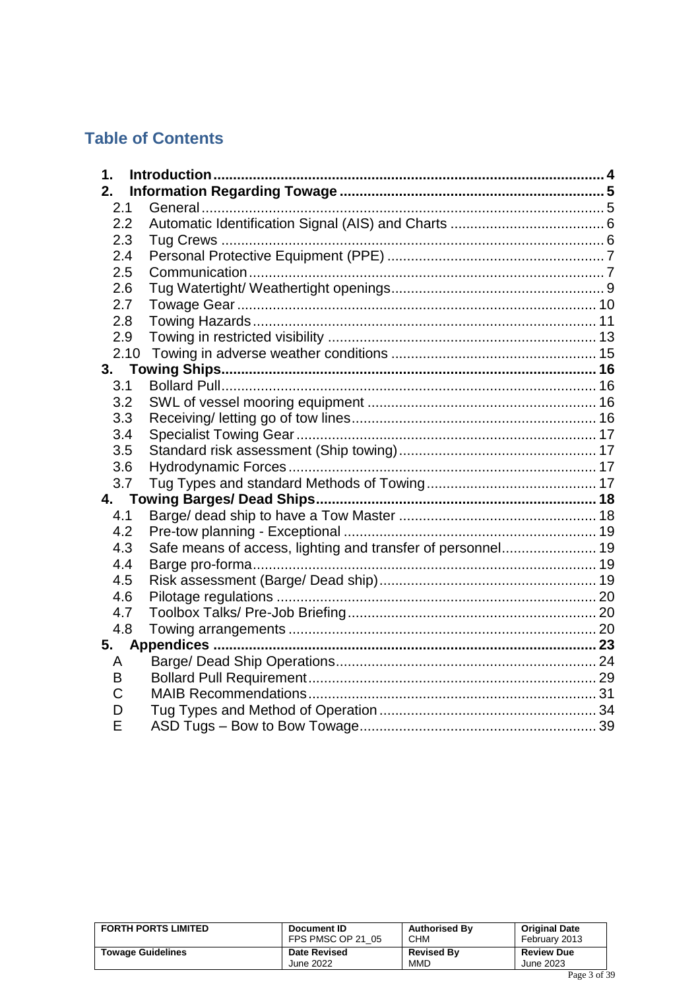# **Table of Contents**

| 1 <sub>1</sub> |                                                             |  |
|----------------|-------------------------------------------------------------|--|
| 2.             |                                                             |  |
| 2.1            |                                                             |  |
| 2.2            |                                                             |  |
| 2.3            |                                                             |  |
| 2.4            |                                                             |  |
| 2.5            |                                                             |  |
| 2.6            |                                                             |  |
| 2.7            |                                                             |  |
| 2.8            |                                                             |  |
| 2.9            |                                                             |  |
|                | 2.10                                                        |  |
|                |                                                             |  |
| 3.1            |                                                             |  |
| 3.2            |                                                             |  |
| 3.3            |                                                             |  |
| 3.4            |                                                             |  |
| 3.5            |                                                             |  |
| 3.6            |                                                             |  |
| 3.7            |                                                             |  |
|                |                                                             |  |
| 4.1            |                                                             |  |
| 4.2            |                                                             |  |
| 4.3            | Safe means of access, lighting and transfer of personnel 19 |  |
| 4.4            |                                                             |  |
| 4.5            |                                                             |  |
| 4.6            |                                                             |  |
| 4.7            |                                                             |  |
| 4.8            |                                                             |  |
| 5.             |                                                             |  |
| A              |                                                             |  |
| B              |                                                             |  |
| C              |                                                             |  |
| D              |                                                             |  |
| E              |                                                             |  |

| <b>FORTH PORTS LIMITED</b> | Document ID<br>FPS PMSC OP 21 05 | <b>Authorised By</b><br><b>CHM</b> | <b>Original Date</b><br>February 2013      |
|----------------------------|----------------------------------|------------------------------------|--------------------------------------------|
| <b>Towage Guidelines</b>   | <b>Date Revised</b>              | <b>Revised By</b>                  | <b>Review Due</b>                          |
|                            | June 2022                        | MMD                                | June 2023<br>$\mathbf{r}$ $\alpha$ $\beta$ |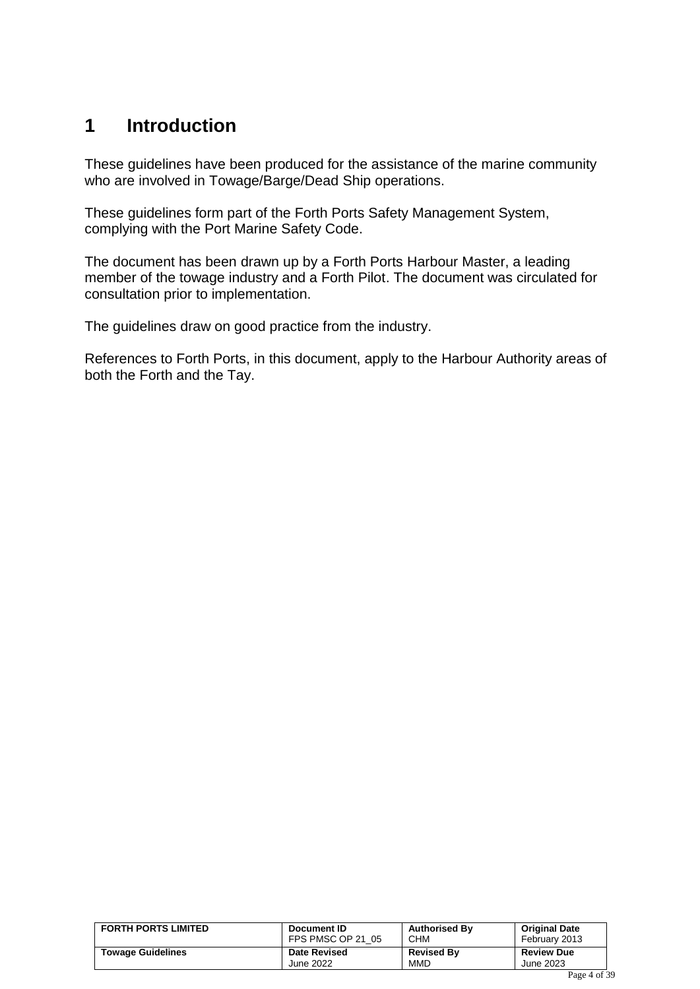## <span id="page-3-0"></span>**1 Introduction**

These guidelines have been produced for the assistance of the marine community who are involved in Towage/Barge/Dead Ship operations.

These guidelines form part of the Forth Ports Safety Management System, complying with the Port Marine Safety Code.

The document has been drawn up by a Forth Ports Harbour Master, a leading member of the towage industry and a Forth Pilot. The document was circulated for consultation prior to implementation.

The guidelines draw on good practice from the industry.

References to Forth Ports, in this document, apply to the Harbour Authority areas of both the Forth and the Tay.

| <b>FORTH PORTS LIMITED</b> | Document ID         | <b>Authorised By</b> | <b>Original Date</b> |
|----------------------------|---------------------|----------------------|----------------------|
|                            | FPS PMSC OP 21 05   | CHM                  | February 2013        |
| <b>Towage Guidelines</b>   | <b>Date Revised</b> | <b>Revised By</b>    | <b>Review Due</b>    |
|                            | June 2022           | <b>MMD</b>           | June 2023            |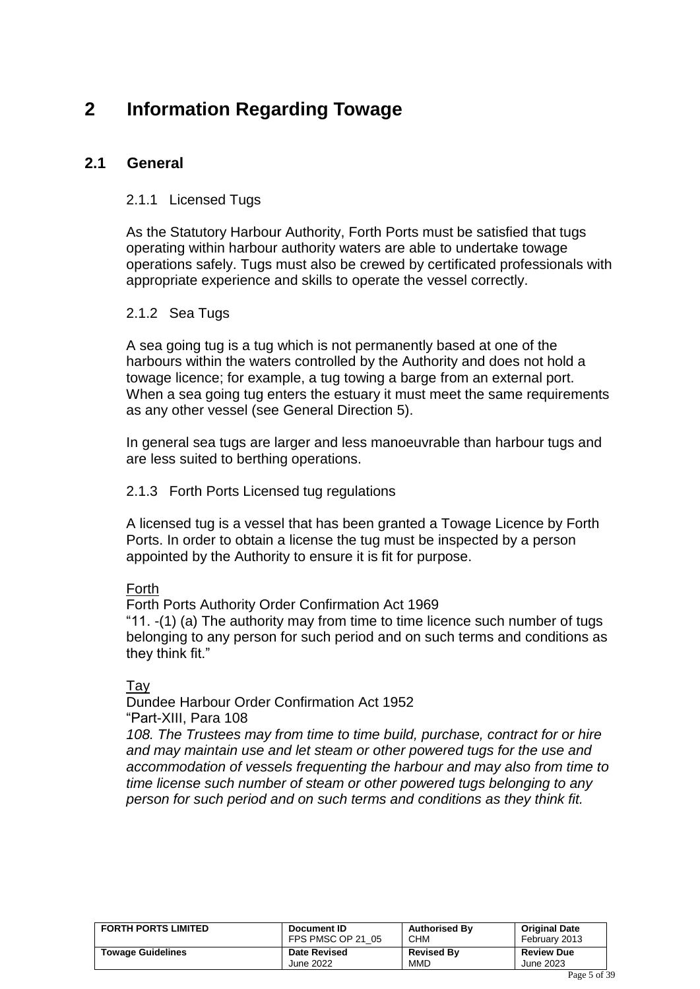# <span id="page-4-0"></span>**2 Information Regarding Towage**

### <span id="page-4-1"></span>**2.1 General**

#### 2.1.1 Licensed Tugs

As the Statutory Harbour Authority, Forth Ports must be satisfied that tugs operating within harbour authority waters are able to undertake towage operations safely. Tugs must also be crewed by certificated professionals with appropriate experience and skills to operate the vessel correctly.

#### 2.1.2 Sea Tugs

A sea going tug is a tug which is not permanently based at one of the harbours within the waters controlled by the Authority and does not hold a towage licence; for example, a tug towing a barge from an external port. When a sea going tug enters the estuary it must meet the same requirements as any other vessel (see General Direction 5).

In general sea tugs are larger and less manoeuvrable than harbour tugs and are less suited to berthing operations.

#### 2.1.3 Forth Ports Licensed tug regulations

A licensed tug is a vessel that has been granted a Towage Licence by Forth Ports. In order to obtain a license the tug must be inspected by a person appointed by the Authority to ensure it is fit for purpose.

#### Forth

Forth Ports Authority Order Confirmation Act 1969

"11. -(1) (a) The authority may from time to time licence such number of tugs belonging to any person for such period and on such terms and conditions as they think fit."

#### **Tav**

Dundee Harbour Order Confirmation Act 1952 "Part-XIII, Para 108

*108. The Trustees may from time to time build, purchase, contract for or hire and may maintain use and let steam or other powered tugs for the use and accommodation of vessels frequenting the harbour and may also from time to time license such number of steam or other powered tugs belonging to any person for such period and on such terms and conditions as they think fit.*

| <b>FORTH PORTS LIMITED</b> | Document ID         | <b>Authorised By</b> | <b>Original Date</b> |
|----------------------------|---------------------|----------------------|----------------------|
|                            | FPS PMSC OP 21 05   | <b>CHM</b>           | February 2013        |
| <b>Towage Guidelines</b>   | <b>Date Revised</b> | <b>Revised By</b>    | <b>Review Due</b>    |
|                            | June 2022           | <b>MMD</b>           | June 2023            |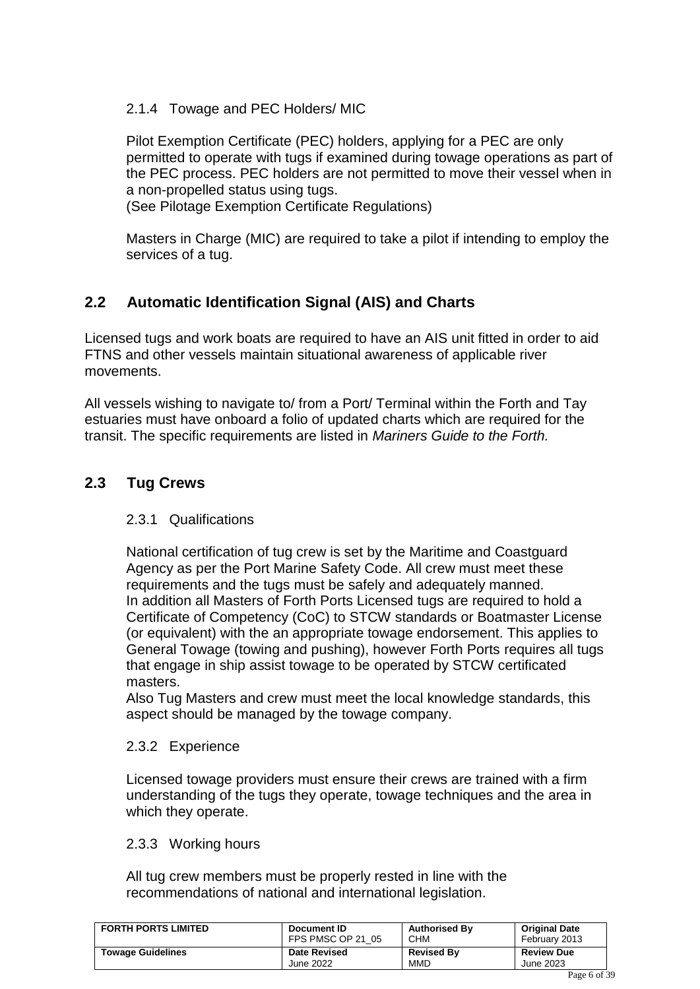### 2.1.4 Towage and PEC Holders/ MIC

Pilot Exemption Certificate (PEC) holders, applying for a PEC are only permitted to operate with tugs if examined during towage operations as part of the PEC process. PEC holders are not permitted to move their vessel when in a non-propelled status using tugs.

(See Pilotage Exemption Certificate Regulations)

Masters in Charge (MIC) are required to take a pilot if intending to employ the services of a tug.

### <span id="page-5-0"></span>**2.2 Automatic Identification Signal (AIS) and Charts**

Licensed tugs and work boats are required to have an AIS unit fitted in order to aid FTNS and other vessels maintain situational awareness of applicable river movements.

All vessels wishing to navigate to/ from a Port/ Terminal within the Forth and Tay estuaries must have onboard a folio of updated charts which are required for the transit. The specific requirements are listed in *Mariners Guide to the Forth.*

### <span id="page-5-1"></span>**2.3 Tug Crews**

### 2.3.1 Qualifications

National certification of tug crew is set by the Maritime and Coastguard Agency as per the Port Marine Safety Code. All crew must meet these requirements and the tugs must be safely and adequately manned. In addition all Masters of Forth Ports Licensed tugs are required to hold a Certificate of Competency (CoC) to STCW standards or Boatmaster License (or equivalent) with the an appropriate towage endorsement. This applies to General Towage (towing and pushing), however Forth Ports requires all tugs that engage in ship assist towage to be operated by STCW certificated masters.

Also Tug Masters and crew must meet the local knowledge standards, this aspect should be managed by the towage company.

### 2.3.2 Experience

Licensed towage providers must ensure their crews are trained with a firm understanding of the tugs they operate, towage techniques and the area in which they operate.

### 2.3.3 Working hours

All tug crew members must be properly rested in line with the recommendations of national and international legislation.

| <b>FORTH PORTS LIMITED</b> | Document ID         | <b>Authorised By</b> | <b>Original Date</b> |
|----------------------------|---------------------|----------------------|----------------------|
|                            | FPS PMSC OP 21 05   | <b>CHM</b>           | February 2013        |
| <b>Towage Guidelines</b>   | <b>Date Revised</b> | <b>Revised By</b>    | <b>Review Due</b>    |
|                            | June 2022           | <b>MMD</b>           | June 2023            |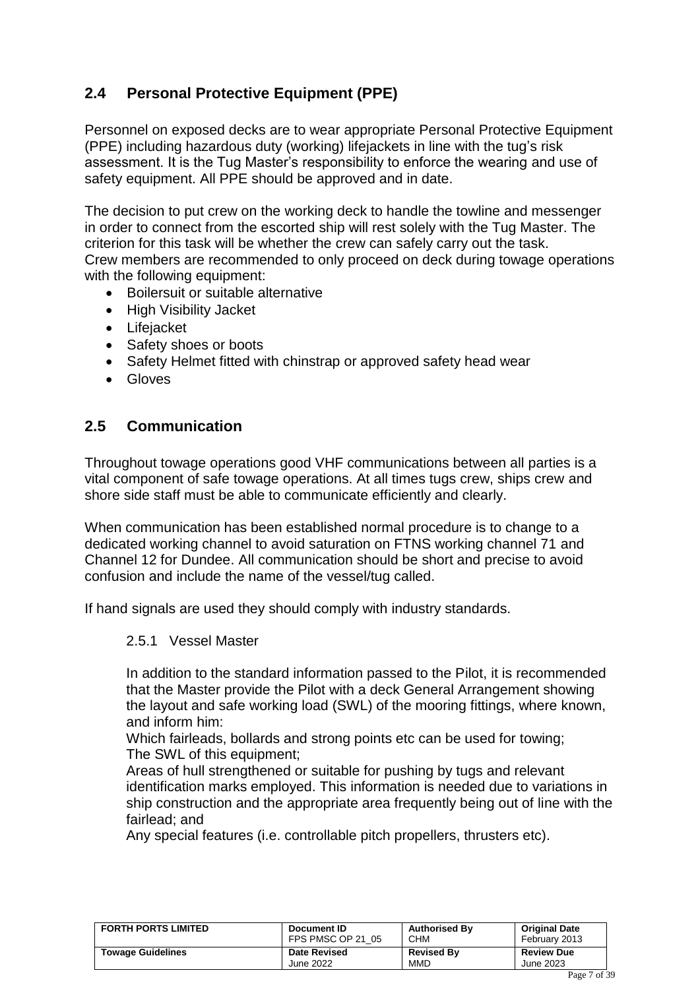### <span id="page-6-0"></span>**2.4 Personal Protective Equipment (PPE)**

Personnel on exposed decks are to wear appropriate Personal Protective Equipment (PPE) including hazardous duty (working) lifejackets in line with the tug's risk assessment. It is the Tug Master's responsibility to enforce the wearing and use of safety equipment. All PPE should be approved and in date.

The decision to put crew on the working deck to handle the towline and messenger in order to connect from the escorted ship will rest solely with the Tug Master. The criterion for this task will be whether the crew can safely carry out the task. Crew members are recommended to only proceed on deck during towage operations with the following equipment:

- Boilersuit or suitable alternative
- High Visibility Jacket
- Lifejacket
- Safety shoes or boots
- Safety Helmet fitted with chinstrap or approved safety head wear
- Gloves

### <span id="page-6-1"></span>**2.5 Communication**

Throughout towage operations good VHF communications between all parties is a vital component of safe towage operations. At all times tugs crew, ships crew and shore side staff must be able to communicate efficiently and clearly.

When communication has been established normal procedure is to change to a dedicated working channel to avoid saturation on FTNS working channel 71 and Channel 12 for Dundee. All communication should be short and precise to avoid confusion and include the name of the vessel/tug called.

If hand signals are used they should comply with industry standards.

#### 2.5.1 Vessel Master

In addition to the standard information passed to the Pilot, it is recommended that the Master provide the Pilot with a deck General Arrangement showing the layout and safe working load (SWL) of the mooring fittings, where known, and inform him:

Which fairleads, bollards and strong points etc can be used for towing; The SWL of this equipment;

Areas of hull strengthened or suitable for pushing by tugs and relevant identification marks employed. This information is needed due to variations in ship construction and the appropriate area frequently being out of line with the fairlead; and

Any special features (i.e. controllable pitch propellers, thrusters etc).

| <b>FORTH PORTS LIMITED</b> | Document ID         | <b>Authorised By</b> | <b>Original Date</b> |
|----------------------------|---------------------|----------------------|----------------------|
|                            | FPS PMSC OP 21 05   | <b>CHM</b>           | February 2013        |
| <b>Towage Guidelines</b>   | <b>Date Revised</b> | <b>Revised By</b>    | <b>Review Due</b>    |
|                            | June 2022           | MMD                  | June 2023            |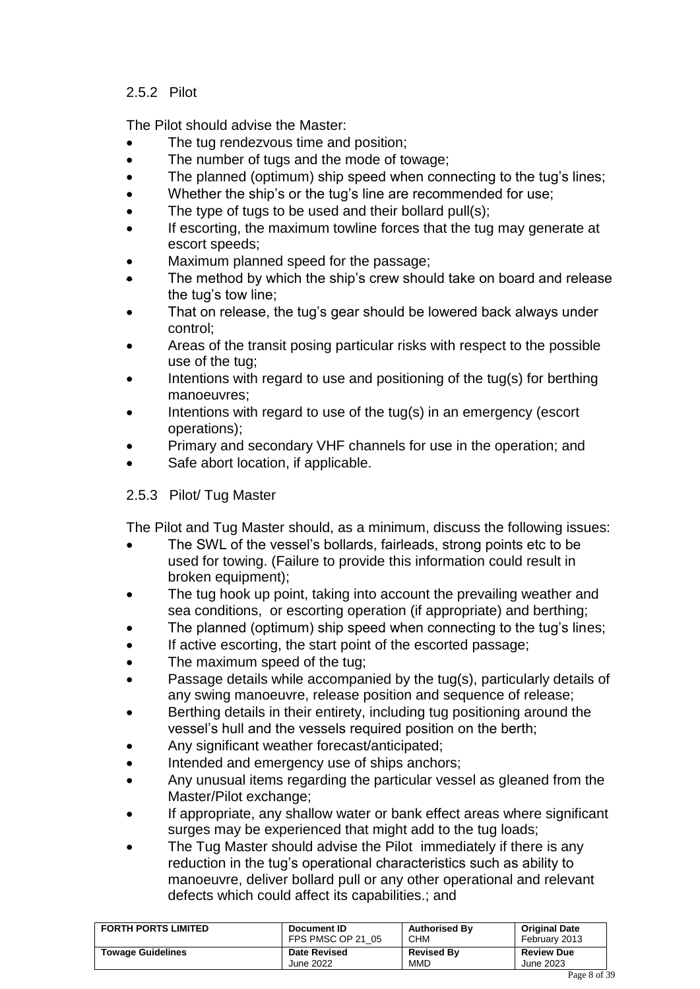### 2.5.2 Pilot

The Pilot should advise the Master:

- The tug rendezvous time and position;
- The number of tugs and the mode of towage;
- The planned (optimum) ship speed when connecting to the tug's lines;
- Whether the ship's or the tug's line are recommended for use;
- The type of tugs to be used and their bollard pull(s);
- If escorting, the maximum towline forces that the tug may generate at escort speeds;
- Maximum planned speed for the passage;
- The method by which the ship's crew should take on board and release the tug's tow line;
- That on release, the tug's gear should be lowered back always under control;
- Areas of the transit posing particular risks with respect to the possible use of the tug;
- Intentions with regard to use and positioning of the tug(s) for berthing manoeuvres;
- Intentions with regard to use of the tug(s) in an emergency (escort operations);
- Primary and secondary VHF channels for use in the operation; and
- Safe abort location, if applicable.

### 2.5.3 Pilot/ Tug Master

The Pilot and Tug Master should, as a minimum, discuss the following issues:

- The SWL of the vessel's bollards, fairleads, strong points etc to be used for towing. (Failure to provide this information could result in broken equipment);
- The tug hook up point, taking into account the prevailing weather and sea conditions, or escorting operation (if appropriate) and berthing;
- The planned (optimum) ship speed when connecting to the tug's lines;
- If active escorting, the start point of the escorted passage;
- The maximum speed of the tug;
- Passage details while accompanied by the tug(s), particularly details of any swing manoeuvre, release position and sequence of release;
- Berthing details in their entirety, including tug positioning around the vessel's hull and the vessels required position on the berth;
- Any significant weather forecast/anticipated;
- Intended and emergency use of ships anchors;
- Any unusual items regarding the particular vessel as gleaned from the Master/Pilot exchange;
- If appropriate, any shallow water or bank effect areas where significant surges may be experienced that might add to the tug loads;
- The Tug Master should advise the Pilot immediately if there is any reduction in the tug's operational characteristics such as ability to manoeuvre, deliver bollard pull or any other operational and relevant defects which could affect its capabilities.; and

| <b>FORTH PORTS LIMITED</b> | Document ID         | <b>Authorised By</b> | <b>Original Date</b> |
|----------------------------|---------------------|----------------------|----------------------|
|                            | FPS PMSC OP 21 05   | <b>CHM</b>           | February 2013        |
| <b>Towage Guidelines</b>   | <b>Date Revised</b> | <b>Revised By</b>    | <b>Review Due</b>    |
|                            | June 2022           | MMD                  | June 2023            |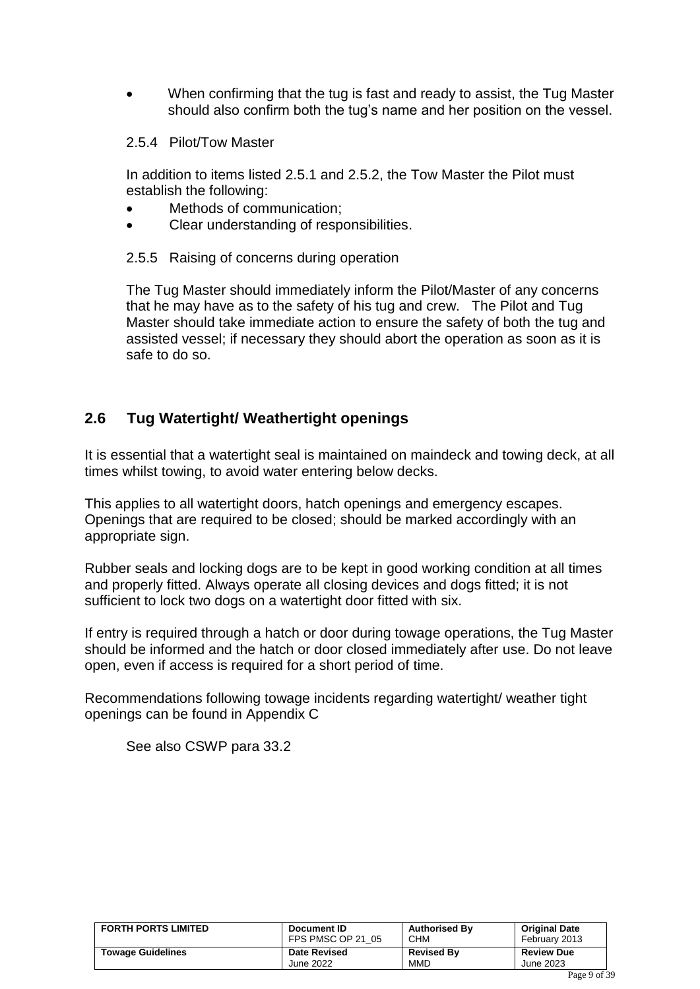• When confirming that the tug is fast and ready to assist, the Tug Master should also confirm both the tug's name and her position on the vessel.

#### 2.5.4 Pilot/Tow Master

In addition to items listed 2.5.1 and 2.5.2, the Tow Master the Pilot must establish the following:

- Methods of communication;
- Clear understanding of responsibilities.

### 2.5.5 Raising of concerns during operation

The Tug Master should immediately inform the Pilot/Master of any concerns that he may have as to the safety of his tug and crew. The Pilot and Tug Master should take immediate action to ensure the safety of both the tug and assisted vessel; if necessary they should abort the operation as soon as it is safe to do so.

### <span id="page-8-0"></span>**2.6 Tug Watertight/ Weathertight openings**

It is essential that a watertight seal is maintained on maindeck and towing deck, at all times whilst towing, to avoid water entering below decks.

This applies to all watertight doors, hatch openings and emergency escapes. Openings that are required to be closed; should be marked accordingly with an appropriate sign.

Rubber seals and locking dogs are to be kept in good working condition at all times and properly fitted. Always operate all closing devices and dogs fitted; it is not sufficient to lock two dogs on a watertight door fitted with six.

If entry is required through a hatch or door during towage operations, the Tug Master should be informed and the hatch or door closed immediately after use. Do not leave open, even if access is required for a short period of time.

Recommendations following towage incidents regarding watertight/ weather tight openings can be found in Appendix C

See also CSWP para 33.2

| <b>FORTH PORTS LIMITED</b> | Document ID         | <b>Authorised By</b> | <b>Original Date</b> |
|----------------------------|---------------------|----------------------|----------------------|
|                            | FPS PMSC OP 21 05   | <b>CHM</b>           | February 2013        |
| <b>Towage Guidelines</b>   | <b>Date Revised</b> | <b>Revised By</b>    | <b>Review Due</b>    |
|                            | June 2022           | MMD                  | June 2023            |
|                            |                     |                      | . .                  |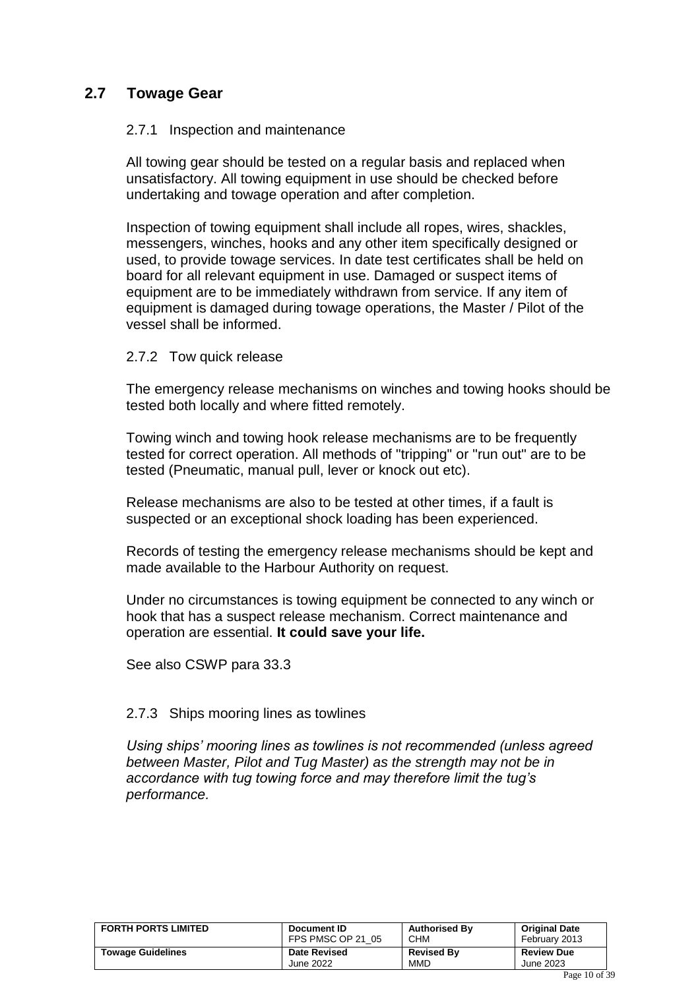### <span id="page-9-0"></span>**2.7 Towage Gear**

#### 2.7.1 Inspection and maintenance

All towing gear should be tested on a regular basis and replaced when unsatisfactory. All towing equipment in use should be checked before undertaking and towage operation and after completion.

Inspection of towing equipment shall include all ropes, wires, shackles, messengers, winches, hooks and any other item specifically designed or used, to provide towage services. In date test certificates shall be held on board for all relevant equipment in use. Damaged or suspect items of equipment are to be immediately withdrawn from service. If any item of equipment is damaged during towage operations, the Master / Pilot of the vessel shall be informed.

#### 2.7.2 Tow quick release

The emergency release mechanisms on winches and towing hooks should be tested both locally and where fitted remotely.

Towing winch and towing hook release mechanisms are to be frequently tested for correct operation. All methods of "tripping" or "run out" are to be tested (Pneumatic, manual pull, lever or knock out etc).

Release mechanisms are also to be tested at other times, if a fault is suspected or an exceptional shock loading has been experienced.

Records of testing the emergency release mechanisms should be kept and made available to the Harbour Authority on request.

Under no circumstances is towing equipment be connected to any winch or hook that has a suspect release mechanism. Correct maintenance and operation are essential. **It could save your life.** 

See also CSWP para 33.3

#### 2.7.3 Ships mooring lines as towlines

<span id="page-9-1"></span>*Using ships' mooring lines as towlines is not recommended (unless agreed between Master, Pilot and Tug Master) as the strength may not be in accordance with tug towing force and may therefore limit the tug's performance.*

| <b>FORTH PORTS LIMITED</b> | Document ID         | <b>Authorised By</b> | <b>Original Date</b> |
|----------------------------|---------------------|----------------------|----------------------|
|                            | FPS PMSC OP 21 05   | <b>CHM</b>           | February 2013        |
| <b>Towage Guidelines</b>   | <b>Date Revised</b> | <b>Revised By</b>    | <b>Review Due</b>    |
|                            | June 2022           | <b>MMD</b>           | June 2023            |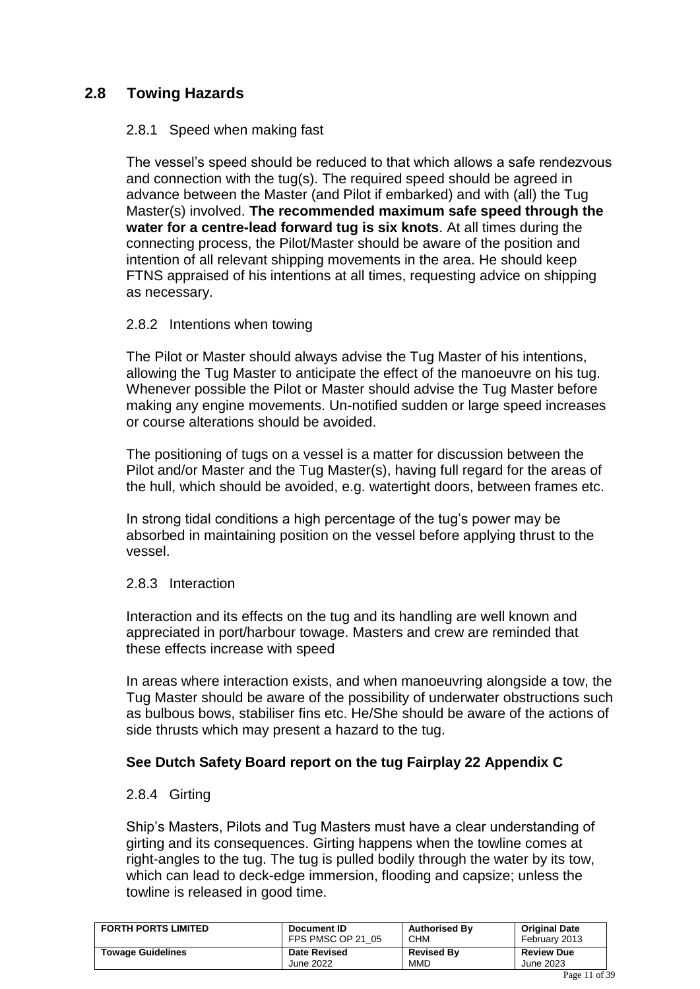### **2.8 Towing Hazards**

### 2.8.1 Speed when making fast

The vessel's speed should be reduced to that which allows a safe rendezvous and connection with the tug(s). The required speed should be agreed in advance between the Master (and Pilot if embarked) and with (all) the Tug Master(s) involved. **The recommended maximum safe speed through the water for a centre-lead forward tug is six knots**. At all times during the connecting process, the Pilot/Master should be aware of the position and intention of all relevant shipping movements in the area. He should keep FTNS appraised of his intentions at all times, requesting advice on shipping as necessary.

### 2.8.2 Intentions when towing

The Pilot or Master should always advise the Tug Master of his intentions, allowing the Tug Master to anticipate the effect of the manoeuvre on his tug. Whenever possible the Pilot or Master should advise the Tug Master before making any engine movements. Un-notified sudden or large speed increases or course alterations should be avoided.

The positioning of tugs on a vessel is a matter for discussion between the Pilot and/or Master and the Tug Master(s), having full regard for the areas of the hull, which should be avoided, e.g. watertight doors, between frames etc.

In strong tidal conditions a high percentage of the tug's power may be absorbed in maintaining position on the vessel before applying thrust to the vessel.

### 2.8.3 Interaction

Interaction and its effects on the tug and its handling are well known and appreciated in port/harbour towage. Masters and crew are reminded that these effects increase with speed

In areas where interaction exists, and when manoeuvring alongside a tow, the Tug Master should be aware of the possibility of underwater obstructions such as bulbous bows, stabiliser fins etc. He/She should be aware of the actions of side thrusts which may present a hazard to the tug.

### **See Dutch Safety Board report on the tug Fairplay 22 Appendix C**

### 2.8.4 Girting

Ship's Masters, Pilots and Tug Masters must have a clear understanding of girting and its consequences. Girting happens when the towline comes at right-angles to the tug. The tug is pulled bodily through the water by its tow, which can lead to deck-edge immersion, flooding and capsize; unless the towline is released in good time.

| <b>FORTH PORTS LIMITED</b> | Document ID         | <b>Authorised By</b> | <b>Original Date</b> |
|----------------------------|---------------------|----------------------|----------------------|
|                            | FPS PMSC OP 21 05   | <b>CHM</b>           | February 2013        |
| <b>Towage Guidelines</b>   | <b>Date Revised</b> | <b>Revised By</b>    | <b>Review Due</b>    |
|                            | June 2022           | <b>MMD</b>           | June 2023            |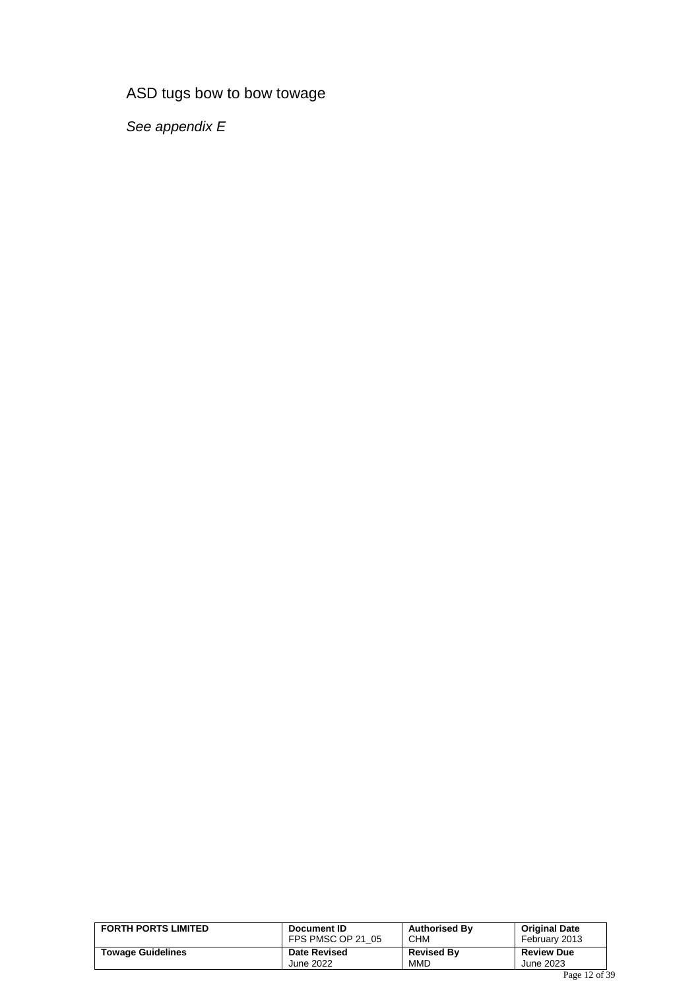### ASD tugs bow to bow towage

*See appendix E*

| <b>FORTH PORTS LIMITED</b> | Document ID         | <b>Authorised By</b> | <b>Original Date</b> |
|----------------------------|---------------------|----------------------|----------------------|
|                            | FPS PMSC OP 21 05   | <b>CHM</b>           | February 2013        |
| <b>Towage Guidelines</b>   | <b>Date Revised</b> | <b>Revised By</b>    | <b>Review Due</b>    |
|                            | June 2022           | <b>MMD</b>           | June 2023            |
|                            |                     |                      | $\sim$               |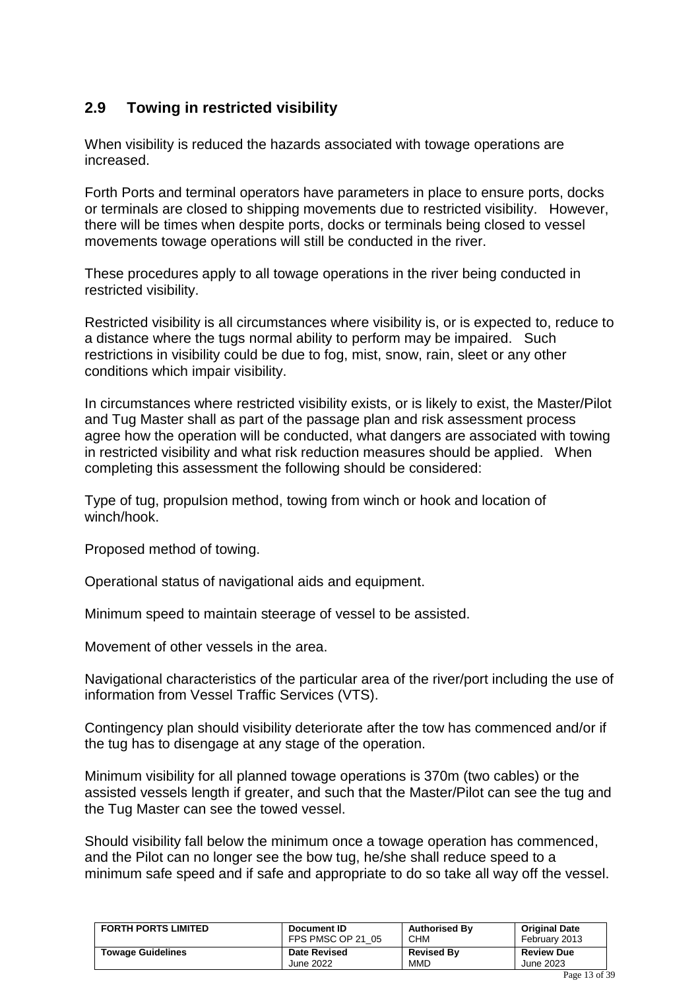### <span id="page-12-0"></span>**2.9 Towing in restricted visibility**

When visibility is reduced the hazards associated with towage operations are increased.

Forth Ports and terminal operators have parameters in place to ensure ports, docks or terminals are closed to shipping movements due to restricted visibility. However, there will be times when despite ports, docks or terminals being closed to vessel movements towage operations will still be conducted in the river.

These procedures apply to all towage operations in the river being conducted in restricted visibility.

Restricted visibility is all circumstances where visibility is, or is expected to, reduce to a distance where the tugs normal ability to perform may be impaired. Such restrictions in visibility could be due to fog, mist, snow, rain, sleet or any other conditions which impair visibility.

In circumstances where restricted visibility exists, or is likely to exist, the Master/Pilot and Tug Master shall as part of the passage plan and risk assessment process agree how the operation will be conducted, what dangers are associated with towing in restricted visibility and what risk reduction measures should be applied. When completing this assessment the following should be considered:

Type of tug, propulsion method, towing from winch or hook and location of winch/hook.

Proposed method of towing.

Operational status of navigational aids and equipment.

Minimum speed to maintain steerage of vessel to be assisted.

Movement of other vessels in the area.

Navigational characteristics of the particular area of the river/port including the use of information from Vessel Traffic Services (VTS).

Contingency plan should visibility deteriorate after the tow has commenced and/or if the tug has to disengage at any stage of the operation.

Minimum visibility for all planned towage operations is 370m (two cables) or the assisted vessels length if greater, and such that the Master/Pilot can see the tug and the Tug Master can see the towed vessel.

Should visibility fall below the minimum once a towage operation has commenced, and the Pilot can no longer see the bow tug, he/she shall reduce speed to a minimum safe speed and if safe and appropriate to do so take all way off the vessel.

| <b>FORTH PORTS LIMITED</b> | Document ID         | <b>Authorised By</b> | <b>Original Date</b> |
|----------------------------|---------------------|----------------------|----------------------|
|                            | FPS PMSC OP 21 05   | <b>CHM</b>           | February 2013        |
| <b>Towage Guidelines</b>   | <b>Date Revised</b> | <b>Revised By</b>    | <b>Review Due</b>    |
|                            | June 2022           | MMD                  | June 2023            |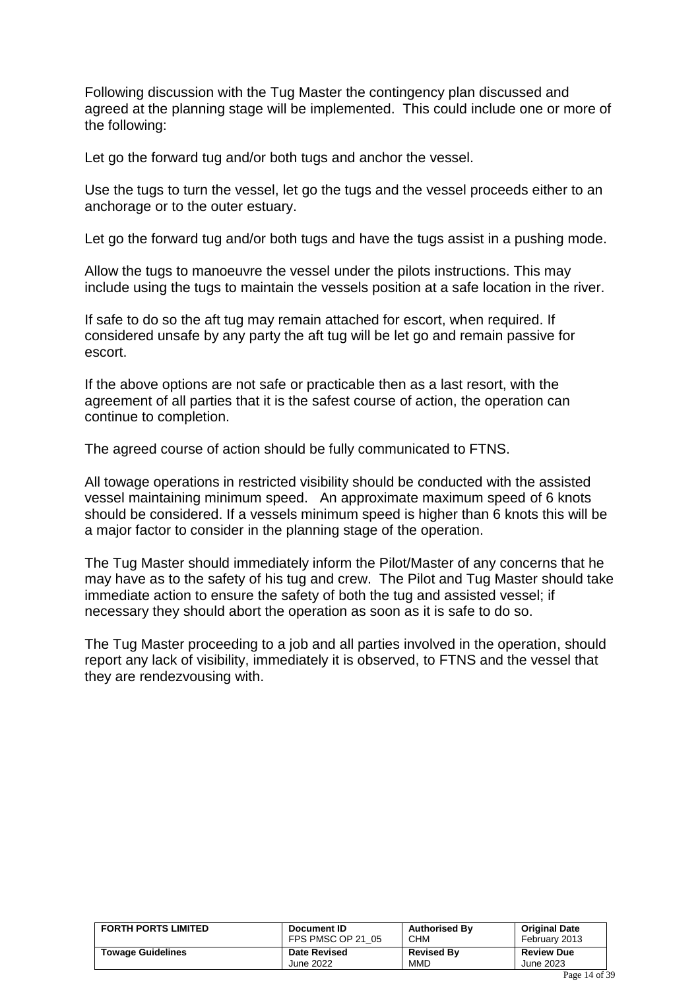Following discussion with the Tug Master the contingency plan discussed and agreed at the planning stage will be implemented. This could include one or more of the following:

Let go the forward tug and/or both tugs and anchor the vessel.

Use the tugs to turn the vessel, let go the tugs and the vessel proceeds either to an anchorage or to the outer estuary.

Let go the forward tug and/or both tugs and have the tugs assist in a pushing mode.

Allow the tugs to manoeuvre the vessel under the pilots instructions. This may include using the tugs to maintain the vessels position at a safe location in the river.

If safe to do so the aft tug may remain attached for escort, when required. If considered unsafe by any party the aft tug will be let go and remain passive for escort.

If the above options are not safe or practicable then as a last resort, with the agreement of all parties that it is the safest course of action, the operation can continue to completion.

The agreed course of action should be fully communicated to FTNS.

All towage operations in restricted visibility should be conducted with the assisted vessel maintaining minimum speed. An approximate maximum speed of 6 knots should be considered. If a vessels minimum speed is higher than 6 knots this will be a major factor to consider in the planning stage of the operation.

The Tug Master should immediately inform the Pilot/Master of any concerns that he may have as to the safety of his tug and crew. The Pilot and Tug Master should take immediate action to ensure the safety of both the tug and assisted vessel; if necessary they should abort the operation as soon as it is safe to do so.

The Tug Master proceeding to a job and all parties involved in the operation, should report any lack of visibility, immediately it is observed, to FTNS and the vessel that they are rendezvousing with.

| <b>FORTH PORTS LIMITED</b> | Document ID         | <b>Authorised By</b> | <b>Original Date</b> |
|----------------------------|---------------------|----------------------|----------------------|
|                            | FPS PMSC OP 21 05   | <b>CHM</b>           | February 2013        |
| <b>Towage Guidelines</b>   | <b>Date Revised</b> | <b>Revised By</b>    | <b>Review Due</b>    |
|                            | June 2022           | <b>MMD</b>           | June 2023            |
|                            |                     |                      |                      |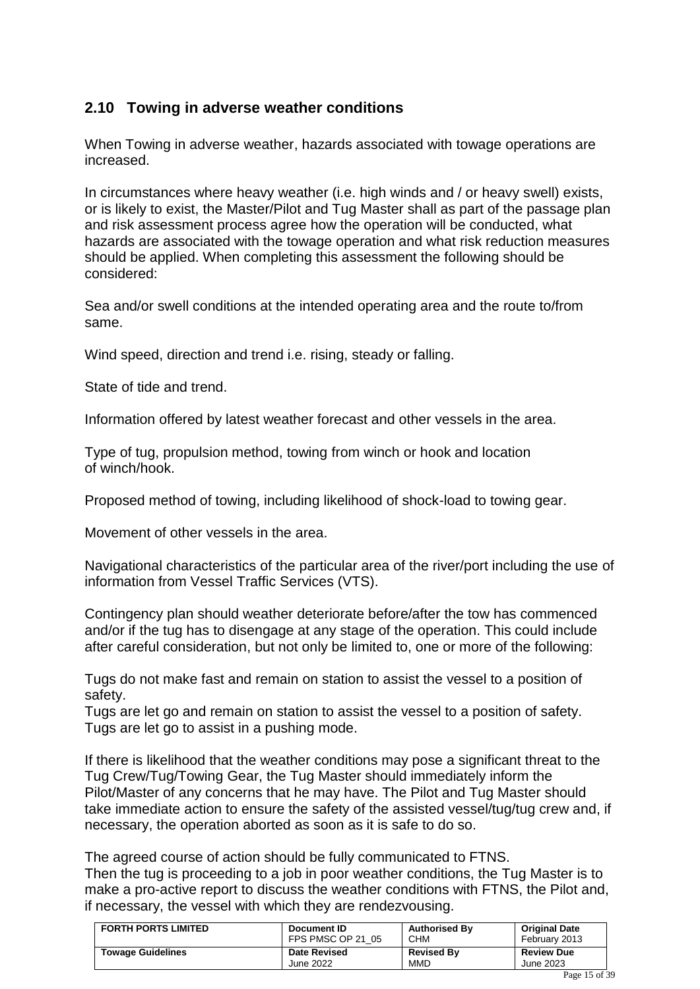### <span id="page-14-0"></span>**2.10 Towing in adverse weather conditions**

When Towing in adverse weather, hazards associated with towage operations are increased.

In circumstances where heavy weather (i.e. high winds and / or heavy swell) exists, or is likely to exist, the Master/Pilot and Tug Master shall as part of the passage plan and risk assessment process agree how the operation will be conducted, what hazards are associated with the towage operation and what risk reduction measures should be applied. When completing this assessment the following should be considered:

Sea and/or swell conditions at the intended operating area and the route to/from same.

Wind speed, direction and trend i.e. rising, steady or falling.

State of tide and trend.

Information offered by latest weather forecast and other vessels in the area.

Type of tug, propulsion method, towing from winch or hook and location of winch/hook.

Proposed method of towing, including likelihood of shock-load to towing gear.

Movement of other vessels in the area.

Navigational characteristics of the particular area of the river/port including the use of information from Vessel Traffic Services (VTS).

Contingency plan should weather deteriorate before/after the tow has commenced and/or if the tug has to disengage at any stage of the operation. This could include after careful consideration, but not only be limited to, one or more of the following:

Tugs do not make fast and remain on station to assist the vessel to a position of safety.

Tugs are let go and remain on station to assist the vessel to a position of safety. Tugs are let go to assist in a pushing mode.

If there is likelihood that the weather conditions may pose a significant threat to the Tug Crew/Tug/Towing Gear, the Tug Master should immediately inform the Pilot/Master of any concerns that he may have. The Pilot and Tug Master should take immediate action to ensure the safety of the assisted vessel/tug/tug crew and, if necessary, the operation aborted as soon as it is safe to do so.

The agreed course of action should be fully communicated to FTNS.

Then the tug is proceeding to a job in poor weather conditions, the Tug Master is to make a pro-active report to discuss the weather conditions with FTNS, the Pilot and, if necessary, the vessel with which they are rendezvousing.

| <b>FORTH PORTS LIMITED</b> | Document ID         | <b>Authorised By</b> | <b>Original Date</b> |
|----------------------------|---------------------|----------------------|----------------------|
|                            | FPS PMSC OP 21 05   | <b>CHM</b>           | February 2013        |
| <b>Towage Guidelines</b>   | <b>Date Revised</b> | <b>Revised By</b>    | <b>Review Due</b>    |
|                            | June 2022           | <b>MMD</b>           | June 2023            |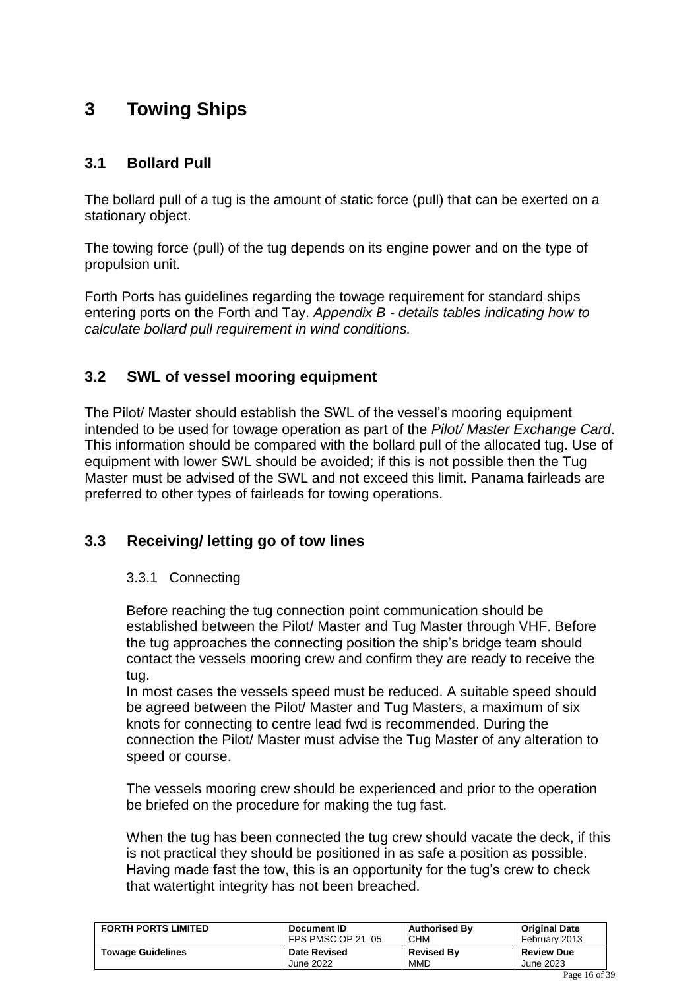# <span id="page-15-0"></span>**3 Towing Ships**

### <span id="page-15-1"></span>**3.1 Bollard Pull**

The bollard pull of a tug is the amount of static force (pull) that can be exerted on a stationary object.

The towing force (pull) of the tug depends on its engine power and on the type of propulsion unit.

Forth Ports has guidelines regarding the towage requirement for standard ships entering ports on the Forth and Tay. *Appendix B - details tables indicating how to calculate bollard pull requirement in wind conditions.*

### <span id="page-15-2"></span>**3.2 SWL of vessel mooring equipment**

The Pilot/ Master should establish the SWL of the vessel's mooring equipment intended to be used for towage operation as part of the *Pilot/ Master Exchange Card*. This information should be compared with the bollard pull of the allocated tug. Use of equipment with lower SWL should be avoided; if this is not possible then the Tug Master must be advised of the SWL and not exceed this limit. Panama fairleads are preferred to other types of fairleads for towing operations.

### <span id="page-15-3"></span>**3.3 Receiving/ letting go of tow lines**

### 3.3.1 Connecting

Before reaching the tug connection point communication should be established between the Pilot/ Master and Tug Master through VHF. Before the tug approaches the connecting position the ship's bridge team should contact the vessels mooring crew and confirm they are ready to receive the tug.

In most cases the vessels speed must be reduced. A suitable speed should be agreed between the Pilot/ Master and Tug Masters, a maximum of six knots for connecting to centre lead fwd is recommended. During the connection the Pilot/ Master must advise the Tug Master of any alteration to speed or course.

The vessels mooring crew should be experienced and prior to the operation be briefed on the procedure for making the tug fast.

When the tug has been connected the tug crew should vacate the deck, if this is not practical they should be positioned in as safe a position as possible. Having made fast the tow, this is an opportunity for the tug's crew to check that watertight integrity has not been breached.

| <b>FORTH PORTS LIMITED</b> | Document ID         | <b>Authorised By</b> | <b>Original Date</b> |
|----------------------------|---------------------|----------------------|----------------------|
|                            | FPS PMSC OP 21 05   | <b>CHM</b>           | February 2013        |
| <b>Towage Guidelines</b>   | <b>Date Revised</b> | <b>Revised By</b>    | <b>Review Due</b>    |
|                            | June 2022           | <b>MMD</b>           | June 2023            |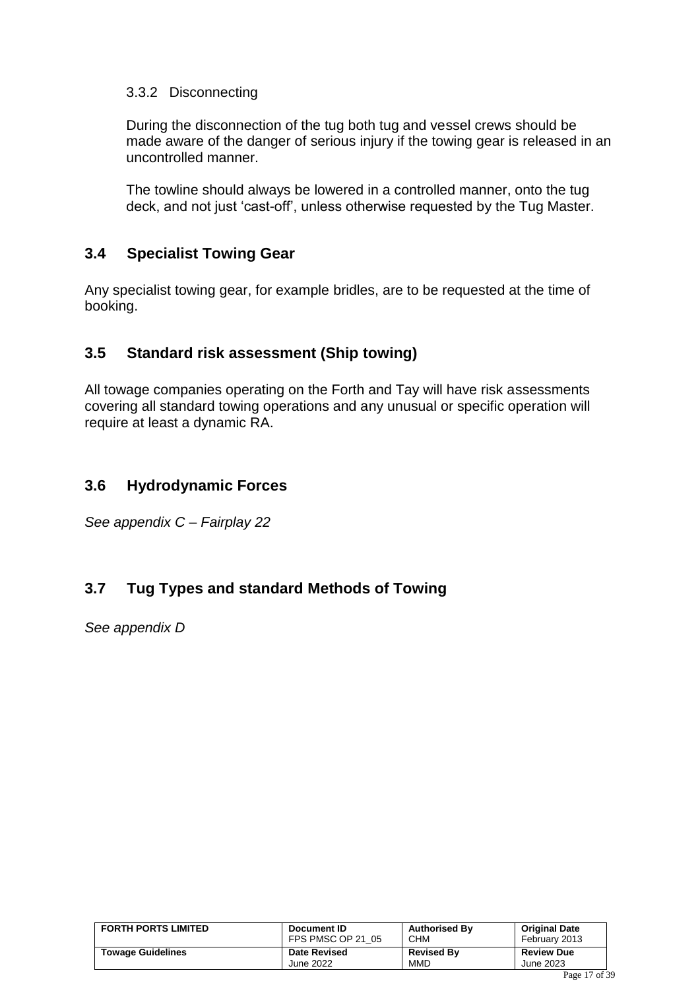### 3.3.2 Disconnecting

During the disconnection of the tug both tug and vessel crews should be made aware of the danger of serious injury if the towing gear is released in an uncontrolled manner.

The towline should always be lowered in a controlled manner, onto the tug deck, and not just 'cast-off', unless otherwise requested by the Tug Master.

### <span id="page-16-0"></span>**3.4 Specialist Towing Gear**

Any specialist towing gear, for example bridles, are to be requested at the time of booking.

### <span id="page-16-1"></span>**3.5 Standard risk assessment (Ship towing)**

All towage companies operating on the Forth and Tay will have risk assessments covering all standard towing operations and any unusual or specific operation will require at least a dynamic RA.

### <span id="page-16-2"></span>**3.6 Hydrodynamic Forces**

*See appendix C – Fairplay 22*

### <span id="page-16-3"></span>**3.7 Tug Types and standard Methods of Towing**

*See appendix D*

| <b>FORTH PORTS LIMITED</b> | Document ID         | <b>Authorised By</b> | <b>Original Date</b> |
|----------------------------|---------------------|----------------------|----------------------|
|                            | FPS PMSC OP 21 05   | <b>CHM</b>           | February 2013        |
| <b>Towage Guidelines</b>   | <b>Date Revised</b> | <b>Revised By</b>    | <b>Review Due</b>    |
|                            | June 2022           | <b>MMD</b>           | June 2023            |
|                            |                     |                      | $P = 17C$            |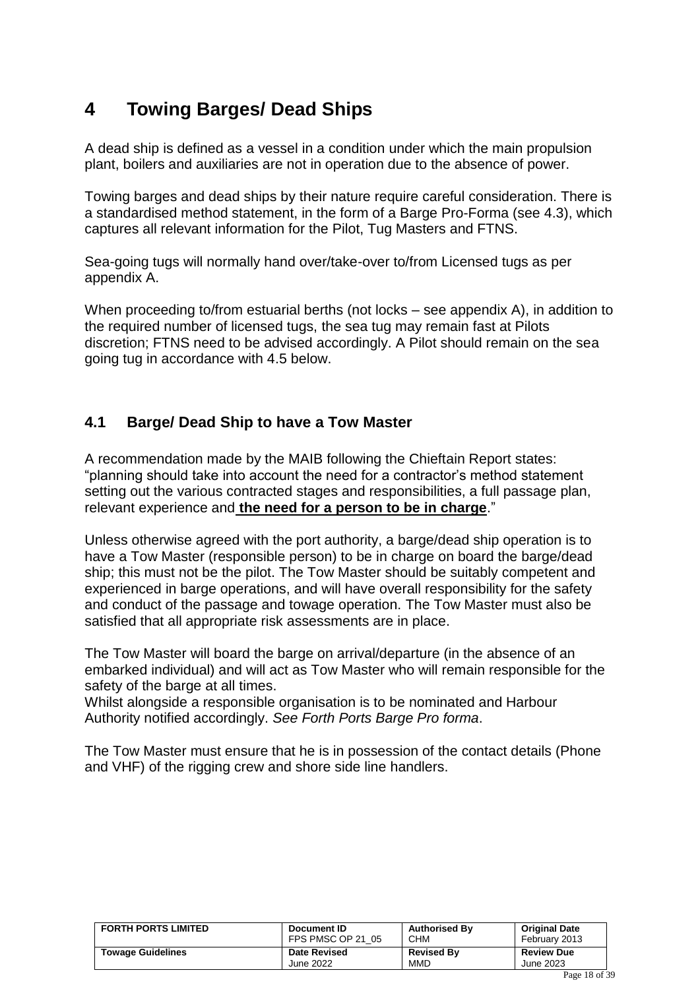# <span id="page-17-0"></span>**4 Towing Barges/ Dead Ships**

A dead ship is defined as a vessel in a condition under which the main propulsion plant, boilers and auxiliaries are not in operation due to the absence of power.

Towing barges and dead ships by their nature require careful consideration. There is a standardised method statement, in the form of a Barge Pro-Forma (see 4.3), which captures all relevant information for the Pilot, Tug Masters and FTNS.

Sea-going tugs will normally hand over/take-over to/from Licensed tugs as per appendix A.

When proceeding to/from estuarial berths (not locks – see appendix A), in addition to the required number of licensed tugs, the sea tug may remain fast at Pilots discretion; FTNS need to be advised accordingly. A Pilot should remain on the sea going tug in accordance with 4.5 below.

### <span id="page-17-1"></span>**4.1 Barge/ Dead Ship to have a Tow Master**

A recommendation made by the MAIB following the Chieftain Report states: "planning should take into account the need for a contractor's method statement setting out the various contracted stages and responsibilities, a full passage plan, relevant experience and **the need for a person to be in charge**."

Unless otherwise agreed with the port authority, a barge/dead ship operation is to have a Tow Master (responsible person) to be in charge on board the barge/dead ship; this must not be the pilot. The Tow Master should be suitably competent and experienced in barge operations, and will have overall responsibility for the safety and conduct of the passage and towage operation. The Tow Master must also be satisfied that all appropriate risk assessments are in place.

The Tow Master will board the barge on arrival/departure (in the absence of an embarked individual) and will act as Tow Master who will remain responsible for the safety of the barge at all times.

Whilst alongside a responsible organisation is to be nominated and Harbour Authority notified accordingly. *See Forth Ports Barge Pro forma*.

The Tow Master must ensure that he is in possession of the contact details (Phone and VHF) of the rigging crew and shore side line handlers.

| <b>FORTH PORTS LIMITED</b> | Document ID         | <b>Authorised By</b> | <b>Original Date</b> |
|----------------------------|---------------------|----------------------|----------------------|
|                            | FPS PMSC OP 21 05   | <b>CHM</b>           | February 2013        |
| <b>Towage Guidelines</b>   | <b>Date Revised</b> | <b>Revised By</b>    | <b>Review Due</b>    |
|                            | June 2022           | MMD                  | June 2023            |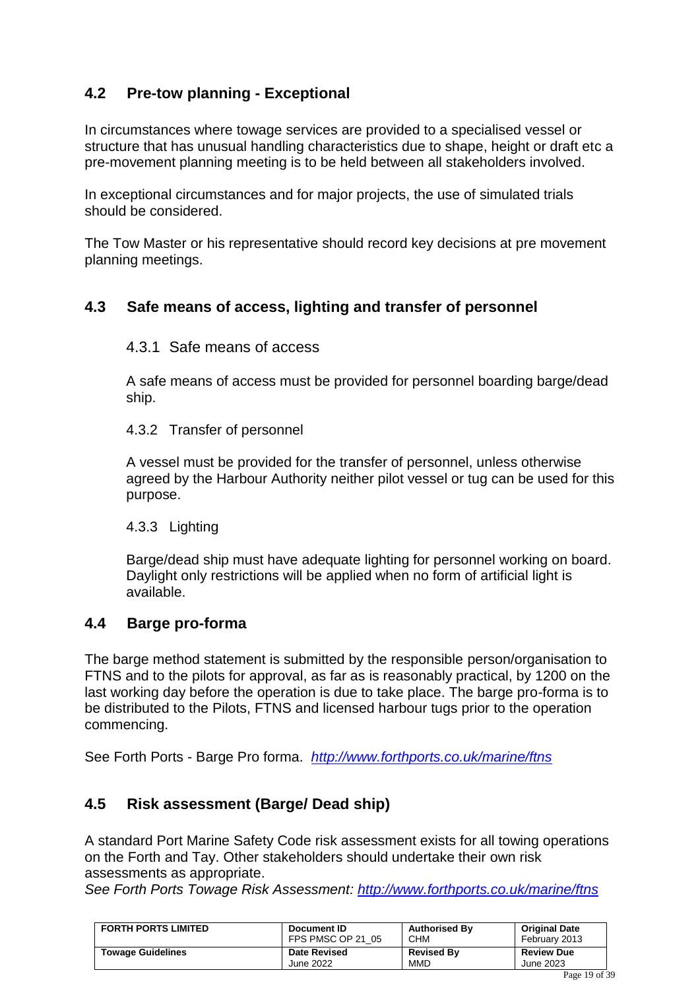### <span id="page-18-0"></span>**4.2 Pre-tow planning - Exceptional**

In circumstances where towage services are provided to a specialised vessel or structure that has unusual handling characteristics due to shape, height or draft etc a pre-movement planning meeting is to be held between all stakeholders involved.

In exceptional circumstances and for major projects, the use of simulated trials should be considered.

The Tow Master or his representative should record key decisions at pre movement planning meetings.

### <span id="page-18-1"></span>**4.3 Safe means of access, lighting and transfer of personnel**

### 4.3.1 Safe means of access

A safe means of access must be provided for personnel boarding barge/dead ship.

4.3.2 Transfer of personnel

A vessel must be provided for the transfer of personnel, unless otherwise agreed by the Harbour Authority neither pilot vessel or tug can be used for this purpose.

### 4.3.3 Lighting

Barge/dead ship must have adequate lighting for personnel working on board. Daylight only restrictions will be applied when no form of artificial light is available.

### <span id="page-18-2"></span>**4.4 Barge pro-forma**

The barge method statement is submitted by the responsible person/organisation to FTNS and to the pilots for approval, as far as is reasonably practical, by 1200 on the last working day before the operation is due to take place. The barge pro-forma is to be distributed to the Pilots, FTNS and licensed harbour tugs prior to the operation commencing.

See Forth Ports - Barge Pro forma. *<http://www.forthports.co.uk/marine/ftns>*

### <span id="page-18-3"></span>**4.5 Risk assessment (Barge/ Dead ship)**

A standard Port Marine Safety Code risk assessment exists for all towing operations on the Forth and Tay. Other stakeholders should undertake their own risk assessments as appropriate.

*See Forth Ports Towage Risk Assessment:<http://www.forthports.co.uk/marine/ftns>*

| <b>FORTH PORTS LIMITED</b> | Document ID         | <b>Authorised By</b> | <b>Original Date</b> |
|----------------------------|---------------------|----------------------|----------------------|
|                            | FPS PMSC OP 21 05   | <b>CHM</b>           | February 2013        |
| <b>Towage Guidelines</b>   | <b>Date Revised</b> | <b>Revised By</b>    | <b>Review Due</b>    |
|                            | June 2022           | MMD                  | June 2023            |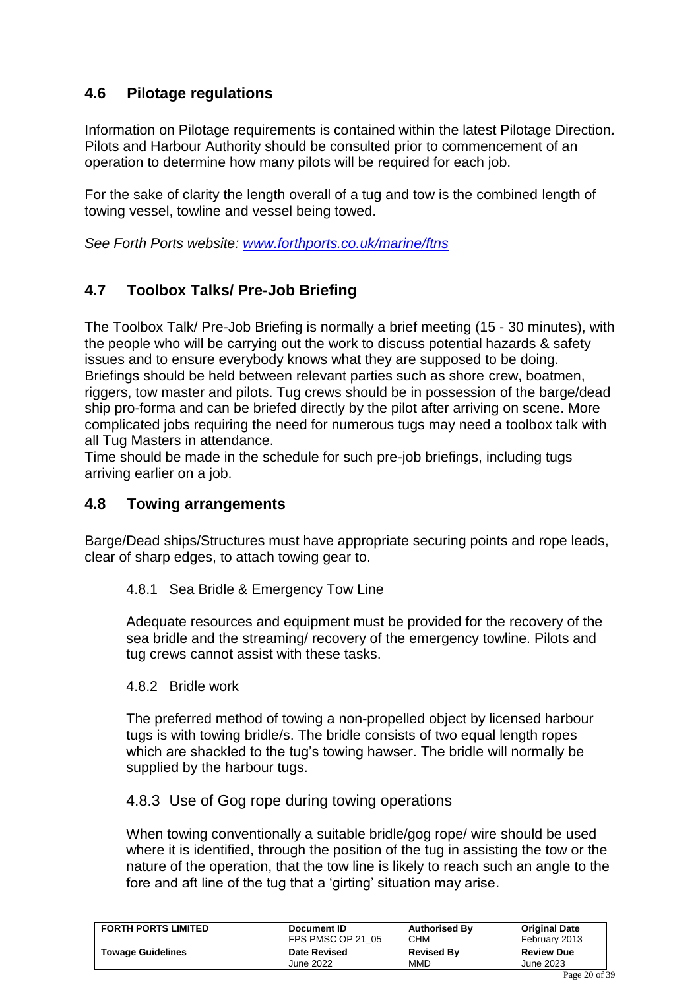### <span id="page-19-0"></span>**4.6 Pilotage regulations**

Information on Pilotage requirements is contained within the latest Pilotage Direction*.*  Pilots and Harbour Authority should be consulted prior to commencement of an operation to determine how many pilots will be required for each job.

For the sake of clarity the length overall of a tug and tow is the combined length of towing vessel, towline and vessel being towed.

*See Forth Ports website:<www.forthports.co.uk/marine/ftns>*

### <span id="page-19-1"></span>**4.7 Toolbox Talks/ Pre-Job Briefing**

The Toolbox Talk/ Pre-Job Briefing is normally a brief meeting (15 - 30 minutes), with the people who will be carrying out the work to discuss potential hazards & safety issues and to ensure everybody knows what they are supposed to be doing. Briefings should be held between relevant parties such as shore crew, boatmen, riggers, tow master and pilots. Tug crews should be in possession of the barge/dead ship pro-forma and can be briefed directly by the pilot after arriving on scene. More complicated jobs requiring the need for numerous tugs may need a toolbox talk with all Tug Masters in attendance.

Time should be made in the schedule for such pre-job briefings, including tugs arriving earlier on a job.

### <span id="page-19-2"></span>**4.8 Towing arrangements**

Barge/Dead ships/Structures must have appropriate securing points and rope leads, clear of sharp edges, to attach towing gear to.

### 4.8.1 Sea Bridle & Emergency Tow Line

Adequate resources and equipment must be provided for the recovery of the sea bridle and the streaming/ recovery of the emergency towline. Pilots and tug crews cannot assist with these tasks.

### 4.8.2 Bridle work

The preferred method of towing a non-propelled object by licensed harbour tugs is with towing bridle/s. The bridle consists of two equal length ropes which are shackled to the tug's towing hawser. The bridle will normally be supplied by the harbour tugs.

### 4.8.3 Use of Gog rope during towing operations

When towing conventionally a suitable bridle/gog rope/ wire should be used where it is identified, through the position of the tug in assisting the tow or the nature of the operation, that the tow line is likely to reach such an angle to the fore and aft line of the tug that a 'girting' situation may arise.

| <b>FORTH PORTS LIMITED</b> | Document ID         | <b>Authorised By</b> | <b>Original Date</b> |
|----------------------------|---------------------|----------------------|----------------------|
|                            | FPS PMSC OP 21 05   | <b>CHM</b>           | February 2013        |
| <b>Towage Guidelines</b>   | <b>Date Revised</b> | <b>Revised By</b>    | <b>Review Due</b>    |
|                            | June 2022           | <b>MMD</b>           | June 2023            |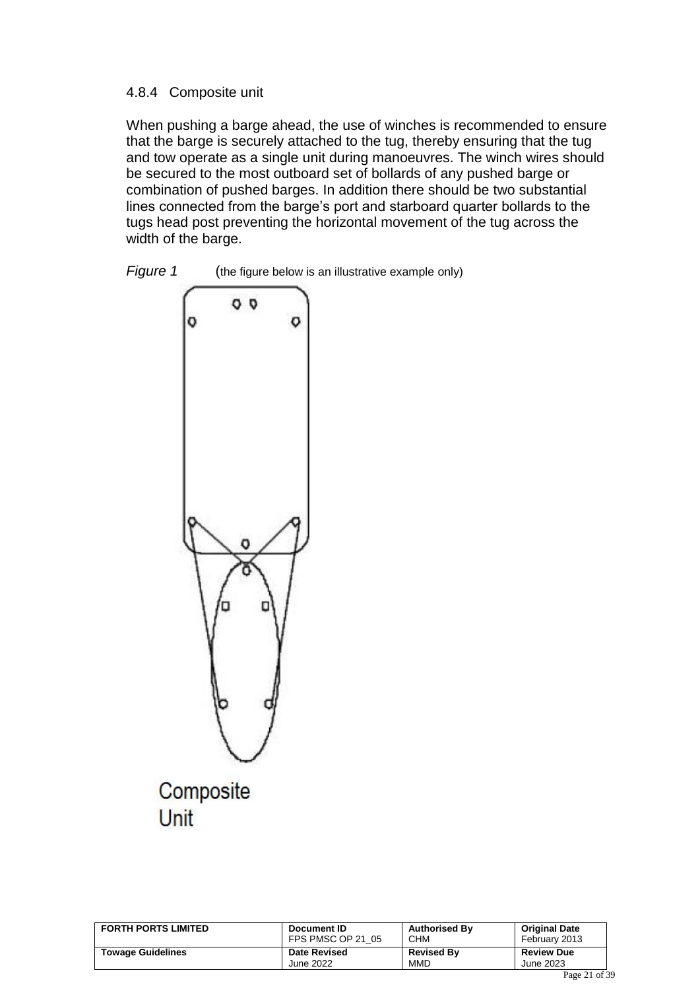### 4.8.4 Composite unit

When pushing a barge ahead, the use of winches is recommended to ensure that the barge is securely attached to the tug, thereby ensuring that the tug and tow operate as a single unit during manoeuvres. The winch wires should be secured to the most outboard set of bollards of any pushed barge or combination of pushed barges. In addition there should be two substantial lines connected from the barge's port and starboard quarter bollards to the tugs head post preventing the horizontal movement of the tug across the width of the barge.





Unit

| <b>FORTH PORTS LIMITED</b> | Document ID         | <b>Authorised By</b> | <b>Original Date</b> |
|----------------------------|---------------------|----------------------|----------------------|
|                            | FPS PMSC OP 21 05   | <b>CHM</b>           | February 2013        |
| <b>Towage Guidelines</b>   | <b>Date Revised</b> | <b>Revised By</b>    | <b>Review Due</b>    |
|                            | June 2022           | <b>MMD</b>           | June 2023            |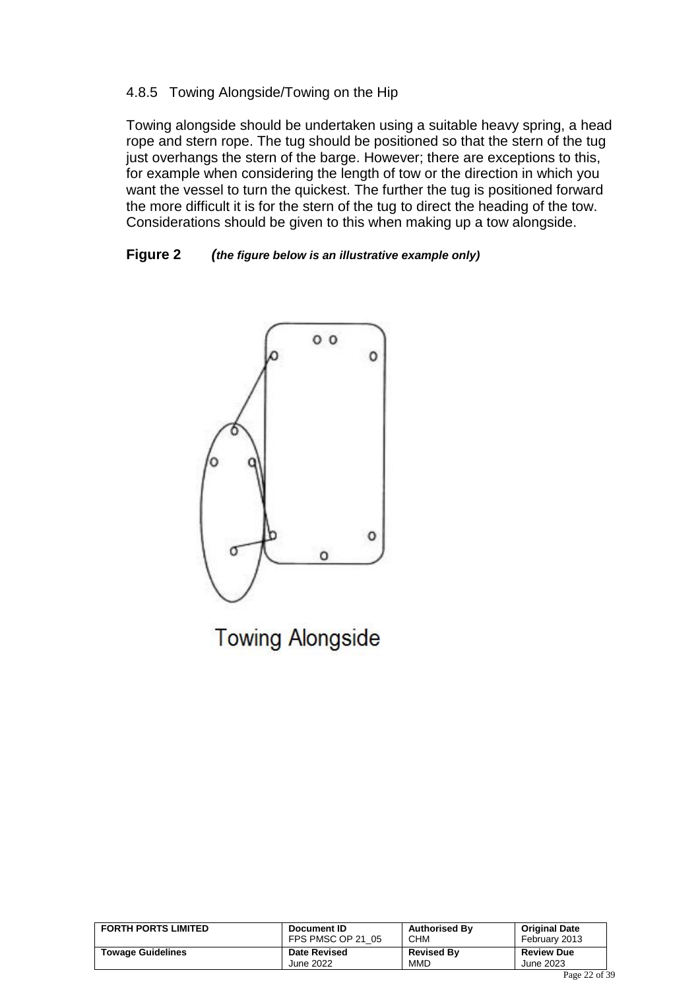### 4.8.5 Towing Alongside/Towing on the Hip

Towing alongside should be undertaken using a suitable heavy spring, a head rope and stern rope. The tug should be positioned so that the stern of the tug just overhangs the stern of the barge. However; there are exceptions to this, for example when considering the length of tow or the direction in which you want the vessel to turn the quickest. The further the tug is positioned forward the more difficult it is for the stern of the tug to direct the heading of the tow. Considerations should be given to this when making up a tow alongside.

#### **Figure 2** *(the figure below is an illustrative example only)*



**Towing Alongside** 

| <b>FORTH PORTS LIMITED</b> | Document ID         | <b>Authorised By</b> | <b>Original Date</b> |
|----------------------------|---------------------|----------------------|----------------------|
|                            | FPS PMSC OP 21 05   | <b>CHM</b>           | February 2013        |
| <b>Towage Guidelines</b>   | <b>Date Revised</b> | <b>Revised By</b>    | <b>Review Due</b>    |
|                            | June 2022           | MMD                  | June 2023            |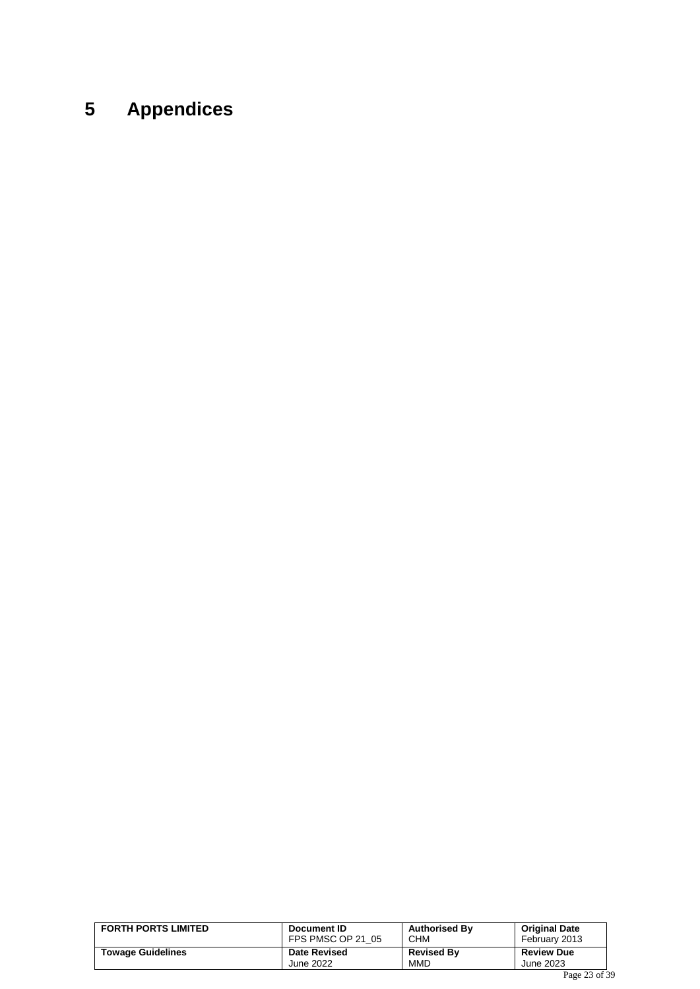# <span id="page-22-0"></span>**5 Appendices**

| <b>FORTH PORTS LIMITED</b> | Document ID<br>FPS PMSC OP 21 05 | <b>Authorised By</b><br><b>CHM</b> | <b>Original Date</b><br>February 2013  |  |
|----------------------------|----------------------------------|------------------------------------|----------------------------------------|--|
| <b>Towage Guidelines</b>   | <b>Date Revised</b>              | <b>Revised By</b>                  | <b>Review Due</b>                      |  |
|                            | June 2022                        | <b>MMD</b>                         | June 2023                              |  |
|                            |                                  |                                    | $\mathbf{D}$ $\mathbf{D}$ $\mathbf{D}$ |  |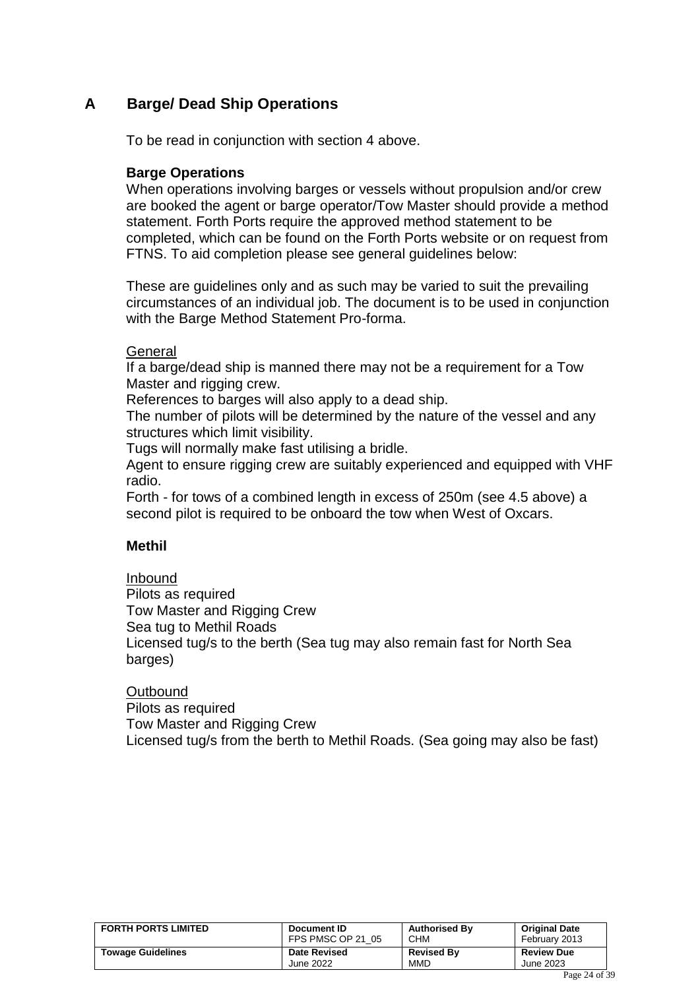### <span id="page-23-0"></span>**A Barge/ Dead Ship Operations**

To be read in conjunction with section 4 above.

### **Barge Operations**

When operations involving barges or vessels without propulsion and/or crew are booked the agent or barge operator/Tow Master should provide a method statement. Forth Ports require the approved method statement to be completed, which can be found on the Forth Ports website or on request from FTNS. To aid completion please see general guidelines below:

These are guidelines only and as such may be varied to suit the prevailing circumstances of an individual job. The document is to be used in conjunction with the Barge Method Statement Pro-forma.

#### General

If a barge/dead ship is manned there may not be a requirement for a Tow Master and rigging crew.

References to barges will also apply to a dead ship.

The number of pilots will be determined by the nature of the vessel and any structures which limit visibility.

Tugs will normally make fast utilising a bridle.

Agent to ensure rigging crew are suitably experienced and equipped with VHF radio.

Forth - for tows of a combined length in excess of 250m (see 4.5 above) a second pilot is required to be onboard the tow when West of Oxcars.

### **Methil**

### Inbound

Pilots as required Tow Master and Rigging Crew Sea tug to Methil Roads Licensed tug/s to the berth (Sea tug may also remain fast for North Sea barges)

#### **Outbound**

Pilots as required Tow Master and Rigging Crew Licensed tug/s from the berth to Methil Roads. (Sea going may also be fast)

| <b>FORTH PORTS LIMITED</b> | Document ID         | <b>Authorised By</b> | <b>Original Date</b> |  |
|----------------------------|---------------------|----------------------|----------------------|--|
|                            | FPS PMSC OP 21 05   | <b>CHM</b>           | February 2013        |  |
| <b>Towage Guidelines</b>   | <b>Date Revised</b> | <b>Revised By</b>    | <b>Review Due</b>    |  |
|                            | June 2022           | <b>MMD</b>           | June 2023            |  |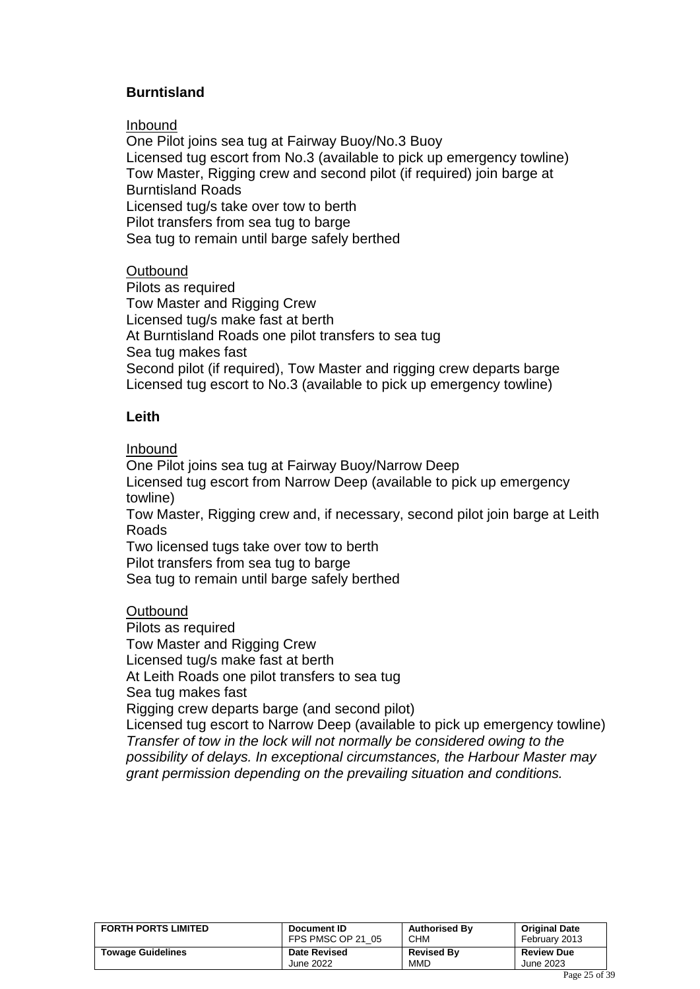### **Burntisland**

#### Inbound

One Pilot joins sea tug at Fairway Buoy/No.3 Buoy Licensed tug escort from No.3 (available to pick up emergency towline) Tow Master, Rigging crew and second pilot (if required) join barge at Burntisland Roads Licensed tug/s take over tow to berth Pilot transfers from sea tug to barge Sea tug to remain until barge safely berthed

### **Outbound**

Pilots as required Tow Master and Rigging Crew Licensed tug/s make fast at berth At Burntisland Roads one pilot transfers to sea tug Sea tug makes fast Second pilot (if required), Tow Master and rigging crew departs barge Licensed tug escort to No.3 (available to pick up emergency towline)

### **Leith**

#### Inbound

One Pilot joins sea tug at Fairway Buoy/Narrow Deep Licensed tug escort from Narrow Deep (available to pick up emergency towline)

Tow Master, Rigging crew and, if necessary, second pilot join barge at Leith Roads

Two licensed tugs take over tow to berth Pilot transfers from sea tug to barge

Sea tug to remain until barge safely berthed

### **Outbound**

Pilots as required Tow Master and Rigging Crew Licensed tug/s make fast at berth At Leith Roads one pilot transfers to sea tug Sea tug makes fast Rigging crew departs barge (and second pilot) Licensed tug escort to Narrow Deep (available to pick up emergency towline) *Transfer of tow in the lock will not normally be considered owing to the possibility of delays. In exceptional circumstances, the Harbour Master may grant permission depending on the prevailing situation and conditions.*

| <b>FORTH PORTS LIMITED</b> | Document ID         | <b>Authorised By</b> | <b>Original Date</b> |  |
|----------------------------|---------------------|----------------------|----------------------|--|
|                            | FPS PMSC OP 21 05   | <b>CHM</b>           | February 2013        |  |
| <b>Towage Guidelines</b>   | <b>Date Revised</b> | <b>Revised By</b>    | <b>Review Due</b>    |  |
|                            | June 2022           | <b>MMD</b>           | June 2023            |  |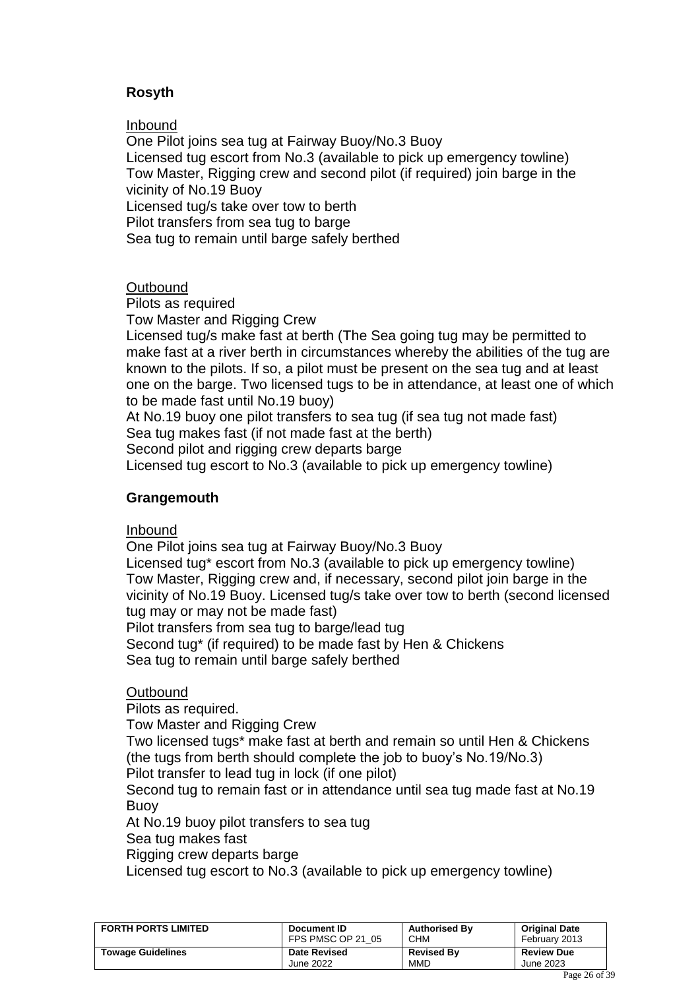### **Rosyth**

Inbound

One Pilot joins sea tug at Fairway Buoy/No.3 Buoy Licensed tug escort from No.3 (available to pick up emergency towline) Tow Master, Rigging crew and second pilot (if required) join barge in the vicinity of No.19 Buoy Licensed tug/s take over tow to berth Pilot transfers from sea tug to barge Sea tug to remain until barge safely berthed

#### **Outbound**

Pilots as required

Tow Master and Rigging Crew

Licensed tug/s make fast at berth (The Sea going tug may be permitted to make fast at a river berth in circumstances whereby the abilities of the tug are known to the pilots. If so, a pilot must be present on the sea tug and at least one on the barge. Two licensed tugs to be in attendance, at least one of which to be made fast until No.19 buoy)

At No.19 buoy one pilot transfers to sea tug (if sea tug not made fast) Sea tug makes fast (if not made fast at the berth)

Second pilot and rigging crew departs barge

Licensed tug escort to No.3 (available to pick up emergency towline)

### **Grangemouth**

Inbound

One Pilot joins sea tug at Fairway Buoy/No.3 Buoy

Licensed tug\* escort from No.3 (available to pick up emergency towline) Tow Master, Rigging crew and, if necessary, second pilot join barge in the vicinity of No.19 Buoy. Licensed tug/s take over tow to berth (second licensed tug may or may not be made fast)

Pilot transfers from sea tug to barge/lead tug

Second tug\* (if required) to be made fast by Hen & Chickens

Sea tug to remain until barge safely berthed

### **Outbound**

Pilots as required.

Tow Master and Rigging Crew

Two licensed tugs\* make fast at berth and remain so until Hen & Chickens (the tugs from berth should complete the job to buoy's No.19/No.3) Pilot transfer to lead tug in lock (if one pilot)

Second tug to remain fast or in attendance until sea tug made fast at No.19 Buoy

At No.19 buoy pilot transfers to sea tug

Sea tug makes fast

Rigging crew departs barge

Licensed tug escort to No.3 (available to pick up emergency towline)

| <b>FORTH PORTS LIMITED</b> | Document ID         | <b>Authorised By</b> | <b>Original Date</b> |  |
|----------------------------|---------------------|----------------------|----------------------|--|
|                            | FPS PMSC OP 21 05   | <b>CHM</b>           | February 2013        |  |
| <b>Towage Guidelines</b>   | <b>Date Revised</b> | <b>Revised By</b>    | <b>Review Due</b>    |  |
|                            | June 2022           | <b>MMD</b>           | June 2023            |  |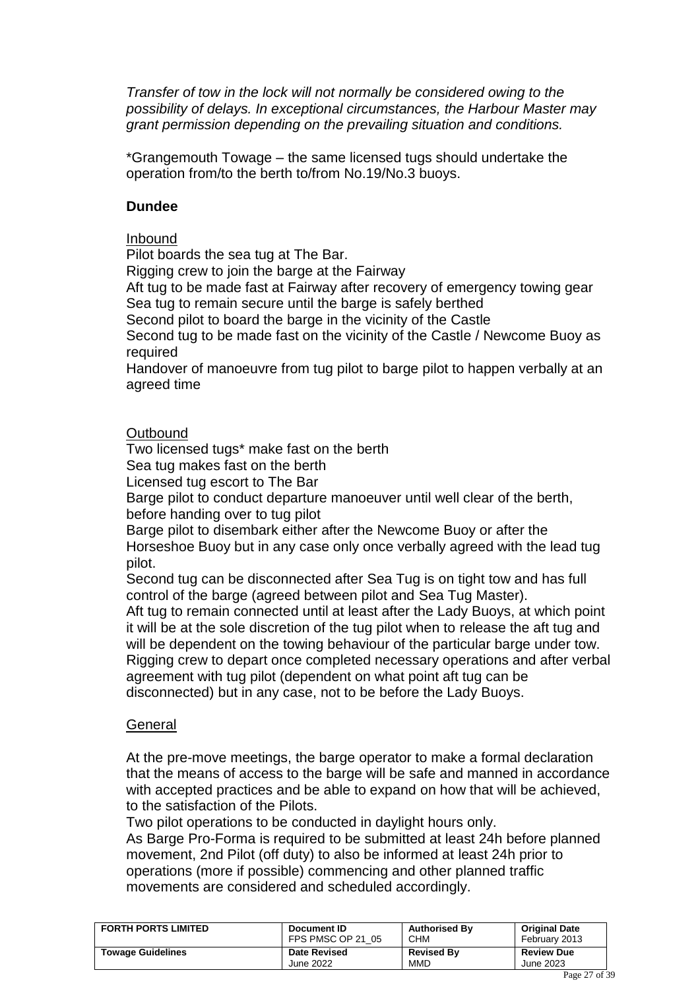*Transfer of tow in the lock will not normally be considered owing to the possibility of delays. In exceptional circumstances, the Harbour Master may grant permission depending on the prevailing situation and conditions.*

\*Grangemouth Towage – the same licensed tugs should undertake the operation from/to the berth to/from No.19/No.3 buoys.

#### **Dundee**

### Inbound

Pilot boards the sea tug at The Bar.

Rigging crew to join the barge at the Fairway

Aft tug to be made fast at Fairway after recovery of emergency towing gear Sea tug to remain secure until the barge is safely berthed

Second pilot to board the barge in the vicinity of the Castle

Second tug to be made fast on the vicinity of the Castle / Newcome Buoy as required

Handover of manoeuvre from tug pilot to barge pilot to happen verbally at an agreed time

### **Outbound**

Two licensed tugs\* make fast on the berth

Sea tug makes fast on the berth

Licensed tug escort to The Bar

Barge pilot to conduct departure manoeuver until well clear of the berth, before handing over to tug pilot

Barge pilot to disembark either after the Newcome Buoy or after the Horseshoe Buoy but in any case only once verbally agreed with the lead tug pilot.

Second tug can be disconnected after Sea Tug is on tight tow and has full control of the barge (agreed between pilot and Sea Tug Master).

Aft tug to remain connected until at least after the Lady Buoys, at which point it will be at the sole discretion of the tug pilot when to release the aft tug and will be dependent on the towing behaviour of the particular barge under tow. Rigging crew to depart once completed necessary operations and after verbal agreement with tug pilot (dependent on what point aft tug can be disconnected) but in any case, not to be before the Lady Buoys.

### **General**

At the pre-move meetings, the barge operator to make a formal declaration that the means of access to the barge will be safe and manned in accordance with accepted practices and be able to expand on how that will be achieved, to the satisfaction of the Pilots.

Two pilot operations to be conducted in daylight hours only.

As Barge Pro-Forma is required to be submitted at least 24h before planned movement, 2nd Pilot (off duty) to also be informed at least 24h prior to operations (more if possible) commencing and other planned traffic movements are considered and scheduled accordingly.

| <b>FORTH PORTS LIMITED</b> | Document ID         | <b>Authorised By</b> | <b>Original Date</b> |
|----------------------------|---------------------|----------------------|----------------------|
|                            | FPS PMSC OP 21 05   | <b>CHM</b>           | February 2013        |
| <b>Towage Guidelines</b>   | <b>Date Revised</b> | <b>Revised By</b>    | <b>Review Due</b>    |
|                            | June 2022           | <b>MMD</b>           | June 2023            |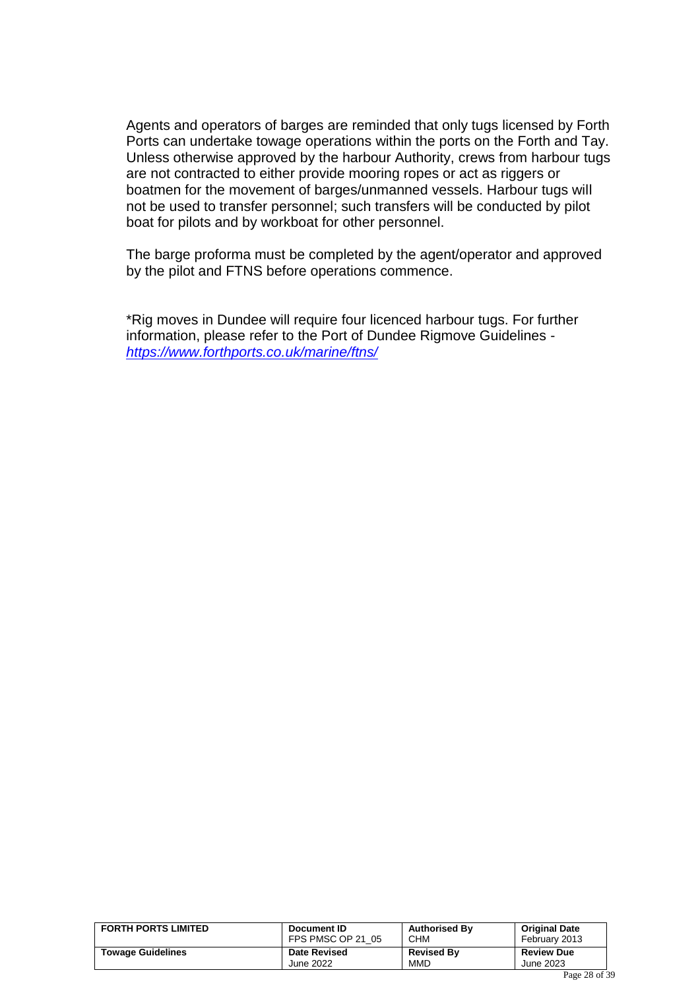Agents and operators of barges are reminded that only tugs licensed by Forth Ports can undertake towage operations within the ports on the Forth and Tay. Unless otherwise approved by the harbour Authority, crews from harbour tugs are not contracted to either provide mooring ropes or act as riggers or boatmen for the movement of barges/unmanned vessels. Harbour tugs will not be used to transfer personnel; such transfers will be conducted by pilot boat for pilots and by workboat for other personnel.

The barge proforma must be completed by the agent/operator and approved by the pilot and FTNS before operations commence.

\*Rig moves in Dundee will require four licenced harbour tugs. For further information, please refer to the Port of Dundee Rigmove Guidelines *<https://www.forthports.co.uk/marine/ftns/>*

| <b>FORTH PORTS LIMITED</b> | Document ID         | <b>Authorised By</b> | <b>Original Date</b> |  |
|----------------------------|---------------------|----------------------|----------------------|--|
|                            | FPS PMSC OP 21 05   | <b>CHM</b>           | February 2013        |  |
| <b>Towage Guidelines</b>   | <b>Date Revised</b> | <b>Revised By</b>    | <b>Review Due</b>    |  |
|                            | June 2022           | <b>MMD</b>           | June 2023            |  |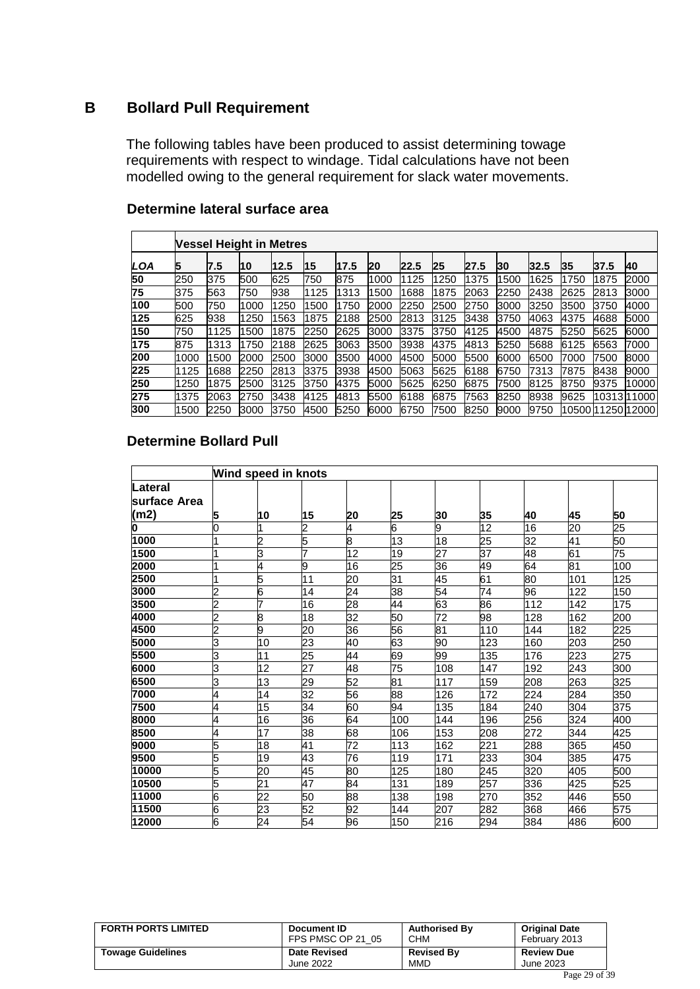### <span id="page-28-0"></span>**B Bollard Pull Requirement**

The following tables have been produced to assist determining towage requirements with respect to windage. Tidal calculations have not been modelled owing to the general requirement for slack water movements.

|     |      | Vessel Height in Metres |      |      |           |      |      |      |      |      |      |      |      |      |                  |
|-----|------|-------------------------|------|------|-----------|------|------|------|------|------|------|------|------|------|------------------|
| LOA | 5    | 7.5                     | 10   | 12.5 | <b>15</b> | 17.5 | 20   | 22.5 | 25   | 27.5 | 30   | 32.5 | 35   | 37.5 | <b>40</b>        |
| 50  | 250  | 375                     | 500  | 625  | 750       | 875  | 1000 | 1125 | 1250 | 1375 | 500  | 1625 | 1750 | 1875 | 2000             |
| 75  | 375  | 563                     | 750  | 938  | 1125      | 1313 | 1500 | 1688 | 1875 | 2063 | 2250 | 2438 | 2625 | 2813 | 3000             |
| 100 | 500  | 750                     | 1000 | 1250 | 1500      | 1750 | 2000 | 2250 | 2500 | 2750 | 3000 | 3250 | 3500 | 3750 | 4000             |
| 125 | 625  | 938                     | 1250 | 563  | 1875      | 2188 | 2500 | 2813 | 3125 | 3438 | 3750 | 4063 | 4375 | 4688 | 5000             |
| 150 | 750  | 1125                    | 1500 | 1875 | 2250      | 2625 | 3000 | 3375 | 3750 | 4125 | 4500 | 4875 | 5250 | 5625 | 6000             |
| 175 | 875  | 1313                    | 1750 | 2188 | 2625      | 3063 | 3500 | 3938 | 4375 | 4813 | 5250 | 5688 | 6125 | 6563 | 7000             |
| 200 | 1000 | 1500                    | 2000 | 2500 | 3000      | 3500 | 4000 | 4500 | 5000 | 5500 | 6000 | 6500 | 7000 | 7500 | 8000             |
| 225 | 1125 | 1688                    | 2250 | 2813 | 3375      | 3938 | 4500 | 5063 | 5625 | 6188 | 6750 | 7313 | 7875 | 8438 | 9000             |
| 250 | 1250 | 1875                    | 2500 | 3125 | 3750      | 4375 | 5000 | 5625 | 6250 | 6875 | 7500 | 8125 | 8750 | 9375 | 10000            |
| 275 | 1375 | 2063                    | 2750 | 3438 | 4125      | 4813 | 5500 | 6188 | 6875 | 7563 | 8250 | 8938 | 9625 |      | 1031311000       |
| 300 | 1500 | 2250                    | 3000 | 3750 | 4500      | 5250 | 6000 | 6750 | 7500 | 8250 | 9000 | 9750 |      |      | 1050011250112000 |

#### **Determine lateral surface area**

### **Determine Bollard Pull**

|                      |                | Wind speed in knots |    |    |     |     |     |     |     |     |
|----------------------|----------------|---------------------|----|----|-----|-----|-----|-----|-----|-----|
| Lateral              |                |                     |    |    |     |     |     |     |     |     |
| <b>lsurface Area</b> |                |                     |    |    |     |     |     |     |     |     |
| (m2)                 | 5              | 10                  | 15 | 20 | 25  | 30  | 35  | 40  | 45  | 50  |
| 0                    | O              |                     | 2  | 4  | 6   | 9   | 12  | 16  | 20  | 25  |
| 1000                 |                | 2                   | 5  | 8  | 13  | 18  | 25  | 32  | 41  | 50  |
| 1500                 |                | 3                   |    | 12 | 19  | 27  | 37  | 48  | 61  | 75  |
| 2000                 |                | 4                   | 9  | 16 | 25  | 36  | 49  | 64  | 81  | 100 |
| 2500                 |                | 5                   | 11 | 20 | 31  | 45  | 61  | 80  | 101 | 125 |
| 3000                 | $\overline{c}$ | 6                   | 14 | 24 | 38  | 54  | 74  | 96  | 122 | 150 |
| 3500                 | $\overline{c}$ | 7                   | 16 | 28 | 44  | 63  | 86  | 112 | 142 | 175 |
| 4000                 | $\overline{c}$ | 8                   | 18 | 32 | 50  | 72  | 98  | 128 | 162 | 200 |
| 4500                 | $\overline{c}$ | 9                   | 20 | 36 | 56  | 81  | 110 | 144 | 182 | 225 |
| 5000                 | 3              | 10                  | 23 | 40 | 63  | 90  | 123 | 160 | 203 | 250 |
| 5500                 | 3              | 11                  | 25 | 44 | 69  | 99  | 135 | 176 | 223 | 275 |
| 6000                 | 3              | 12                  | 27 | 48 | 75  | 108 | 147 | 192 | 243 | 300 |
| 6500                 | 3              | 13                  | 29 | 52 | 81  | 117 | 159 | 208 | 263 | 325 |
| 7000                 | 4              | 14                  | 32 | 56 | 88  | 126 | 172 | 224 | 284 | 350 |
| 7500                 | 4              | 15                  | 34 | 60 | 94  | 135 | 184 | 240 | 304 | 375 |
| 8000                 | 4              | 16                  | 36 | 64 | 100 | 144 | 196 | 256 | 324 | 400 |
| 8500                 | 4              | 17                  | 38 | 68 | 106 | 153 | 208 | 272 | 344 | 425 |
| 9000                 | 5              | 18                  | 41 | 72 | 113 | 162 | 221 | 288 | 365 | 450 |
| 9500                 | 5              | 19                  | 43 | 76 | 119 | 171 | 233 | 304 | 385 | 475 |
| 10000                | 5              | 20                  | 45 | 80 | 125 | 180 | 245 | 320 | 405 | 500 |
| 10500                | 5              | $\overline{21}$     | 47 | 84 | 131 | 189 | 257 | 336 | 425 | 525 |
| 11000                | 6              | 22                  | 50 | 88 | 138 | 198 | 270 | 352 | 446 | 550 |
| 11500                | 6              | 23                  | 52 | 92 | 144 | 207 | 282 | 368 | 466 | 575 |
| 12000                | 6              | 24                  | 54 | 96 | 150 | 216 | 294 | 384 | 486 | 600 |

| <b>FORTH PORTS LIMITED</b> | Document ID<br>FPS PMSC OP 21 05 | <b>Authorised By</b><br><b>CHM</b> | <b>Original Date</b><br>February 2013 |  |
|----------------------------|----------------------------------|------------------------------------|---------------------------------------|--|
| <b>Towage Guidelines</b>   | <b>Date Revised</b>              | <b>Revised By</b>                  | <b>Review Due</b>                     |  |
|                            | June 2022                        | <b>MMD</b>                         | June 2023                             |  |
|                            |                                  |                                    | $D_{2} = 20 - 5$                      |  |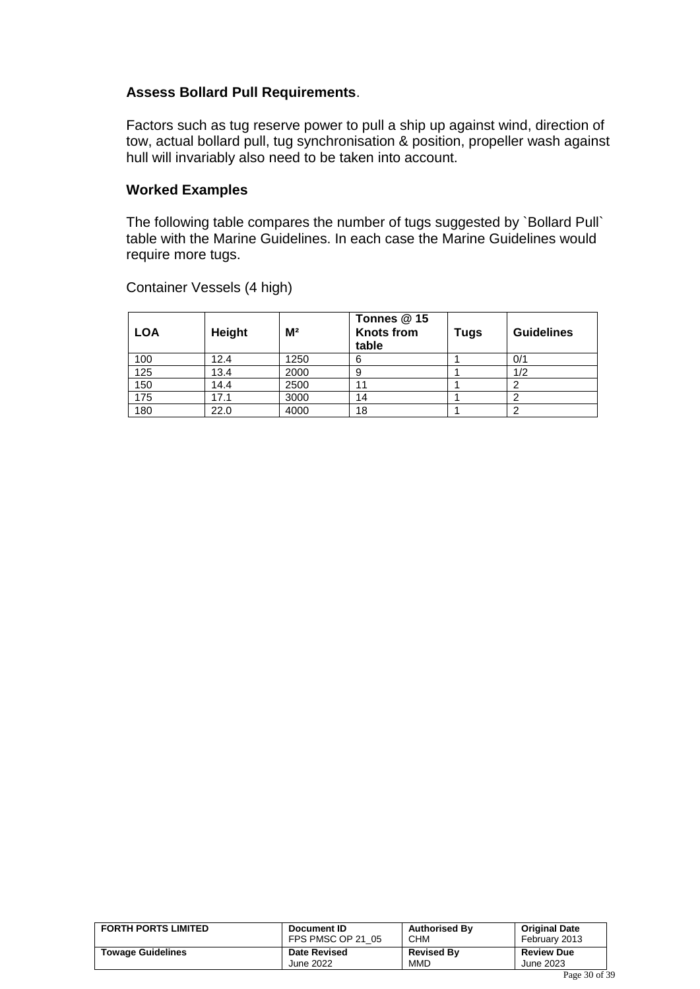#### **Assess Bollard Pull Requirements**.

Factors such as tug reserve power to pull a ship up against wind, direction of tow, actual bollard pull, tug synchronisation & position, propeller wash against hull will invariably also need to be taken into account.

#### **Worked Examples**

The following table compares the number of tugs suggested by `Bollard Pull` table with the Marine Guidelines. In each case the Marine Guidelines would require more tugs.

| <b>LOA</b> | Height | M <sup>2</sup> | Tonnes @ 15<br><b>Knots from</b><br>table | Tugs | <b>Guidelines</b> |
|------------|--------|----------------|-------------------------------------------|------|-------------------|
| 100        | 12.4   | 1250           | 6                                         |      | 0/1               |
| 125        | 13.4   | 2000           | 9                                         |      | 1/2               |
| 150        | 14.4   | 2500           | 11                                        |      | ⌒                 |
| 175        | 17.1   | 3000           | 14                                        |      | 2                 |
| 180        | 22.0   | 4000           | 18                                        |      | 2                 |

Container Vessels (4 high)

| <b>FORTH PORTS LIMITED</b> | Document ID         | <b>Authorised By</b> | <b>Original Date</b> |  |
|----------------------------|---------------------|----------------------|----------------------|--|
|                            | FPS PMSC OP 21 05   | <b>CHM</b>           | February 2013        |  |
| <b>Towage Guidelines</b>   | <b>Date Revised</b> | <b>Revised By</b>    | <b>Review Due</b>    |  |
|                            | June 2022           | MMD                  | June 2023            |  |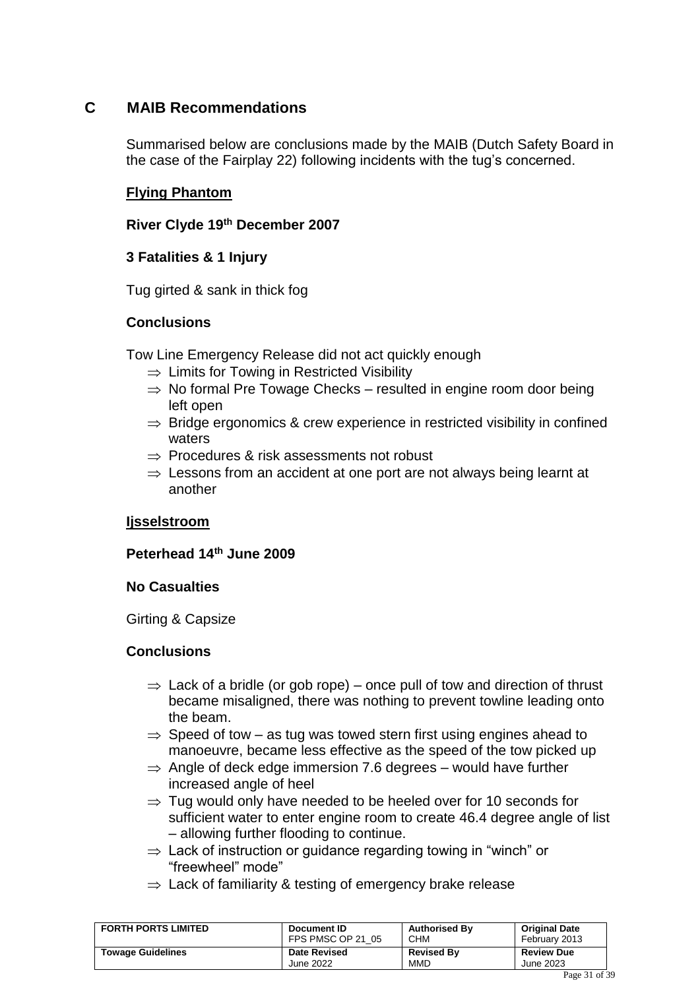### <span id="page-30-0"></span>**C MAIB Recommendations**

Summarised below are conclusions made by the MAIB (Dutch Safety Board in the case of the Fairplay 22) following incidents with the tug's concerned.

### **Flying Phantom**

### **River Clyde 19th December 2007**

### **3 Fatalities & 1 Injury**

Tug girted & sank in thick fog

### **Conclusions**

Tow Line Emergency Release did not act quickly enough

- $\Rightarrow$  Limits for Towing in Restricted Visibility
- $\Rightarrow$  No formal Pre Towage Checks resulted in engine room door being left open
- $\Rightarrow$  Bridge ergonomics & crew experience in restricted visibility in confined waters
- $\Rightarrow$  Procedures & risk assessments not robust
- $\Rightarrow$  Lessons from an accident at one port are not always being learnt at another

### **Ijsselstroom**

### **Peterhead 14th June 2009**

### **No Casualties**

Girting & Capsize

### **Conclusions**

- $\Rightarrow$  Lack of a bridle (or gob rope) once pull of tow and direction of thrust became misaligned, there was nothing to prevent towline leading onto the beam.
- $\Rightarrow$  Speed of tow as tug was towed stern first using engines ahead to manoeuvre, became less effective as the speed of the tow picked up
- $\Rightarrow$  Angle of deck edge immersion 7.6 degrees would have further increased angle of heel
- $\Rightarrow$  Tug would only have needed to be heeled over for 10 seconds for sufficient water to enter engine room to create 46.4 degree angle of list – allowing further flooding to continue.
- $\Rightarrow$  Lack of instruction or guidance regarding towing in "winch" or "freewheel" mode"
- $\Rightarrow$  Lack of familiarity & testing of emergency brake release

| <b>FORTH PORTS LIMITED</b> | Document ID         | <b>Authorised By</b> | <b>Original Date</b> |  |
|----------------------------|---------------------|----------------------|----------------------|--|
|                            | FPS PMSC OP 21 05   | <b>CHM</b>           | February 2013        |  |
| <b>Towage Guidelines</b>   | <b>Date Revised</b> | <b>Revised By</b>    | <b>Review Due</b>    |  |
|                            | June 2022           | MMD                  | June 2023            |  |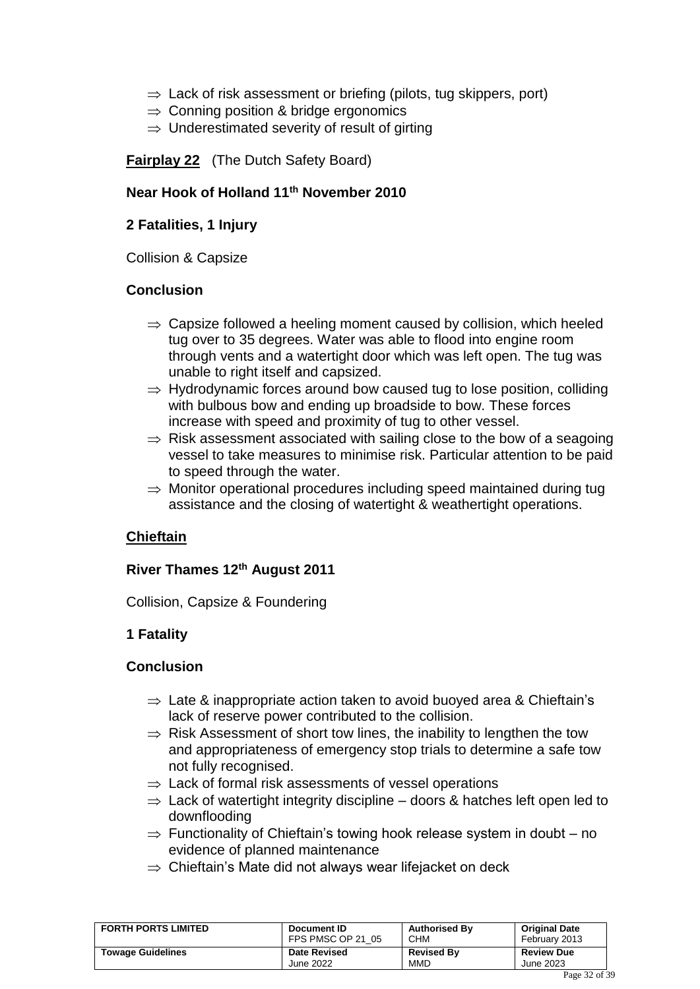- $\Rightarrow$  Lack of risk assessment or briefing (pilots, tug skippers, port)
- $\Rightarrow$  Conning position & bridge ergonomics
- $\Rightarrow$  Underestimated severity of result of girting

**Fairplay 22** (The Dutch Safety Board)

#### **Near Hook of Holland 11th November 2010**

#### **2 Fatalities, 1 Injury**

Collision & Capsize

#### **Conclusion**

- $\Rightarrow$  Capsize followed a heeling moment caused by collision, which heeled tug over to 35 degrees. Water was able to flood into engine room through vents and a watertight door which was left open. The tug was unable to right itself and capsized.
- $\Rightarrow$  Hydrodynamic forces around bow caused tug to lose position, colliding with bulbous bow and ending up broadside to bow. These forces increase with speed and proximity of tug to other vessel.
- $\Rightarrow$  Risk assessment associated with sailing close to the bow of a seagoing vessel to take measures to minimise risk. Particular attention to be paid to speed through the water.
- $\Rightarrow$  Monitor operational procedures including speed maintained during tug assistance and the closing of watertight & weathertight operations.

### **Chieftain**

### **River Thames 12th August 2011**

Collision, Capsize & Foundering

### **1 Fatality**

#### **Conclusion**

- $\Rightarrow$  Late & inappropriate action taken to avoid buoyed area & Chieftain's lack of reserve power contributed to the collision.
- $\Rightarrow$  Risk Assessment of short tow lines, the inability to lengthen the tow and appropriateness of emergency stop trials to determine a safe tow not fully recognised.
- $\Rightarrow$  Lack of formal risk assessments of vessel operations
- $\Rightarrow$  Lack of watertight integrity discipline doors & hatches left open led to downflooding
- $\Rightarrow$  Functionality of Chieftain's towing hook release system in doubt no evidence of planned maintenance
- $\Rightarrow$  Chieftain's Mate did not always wear lifejacket on deck

| <b>FORTH PORTS LIMITED</b> | Document ID         | <b>Authorised By</b> | <b>Original Date</b> |
|----------------------------|---------------------|----------------------|----------------------|
|                            | FPS PMSC OP 21 05   | <b>CHM</b>           | February 2013        |
| <b>Towage Guidelines</b>   | <b>Date Revised</b> | <b>Revised By</b>    | <b>Review Due</b>    |
|                            | June 2022           | <b>MMD</b>           | June 2023            |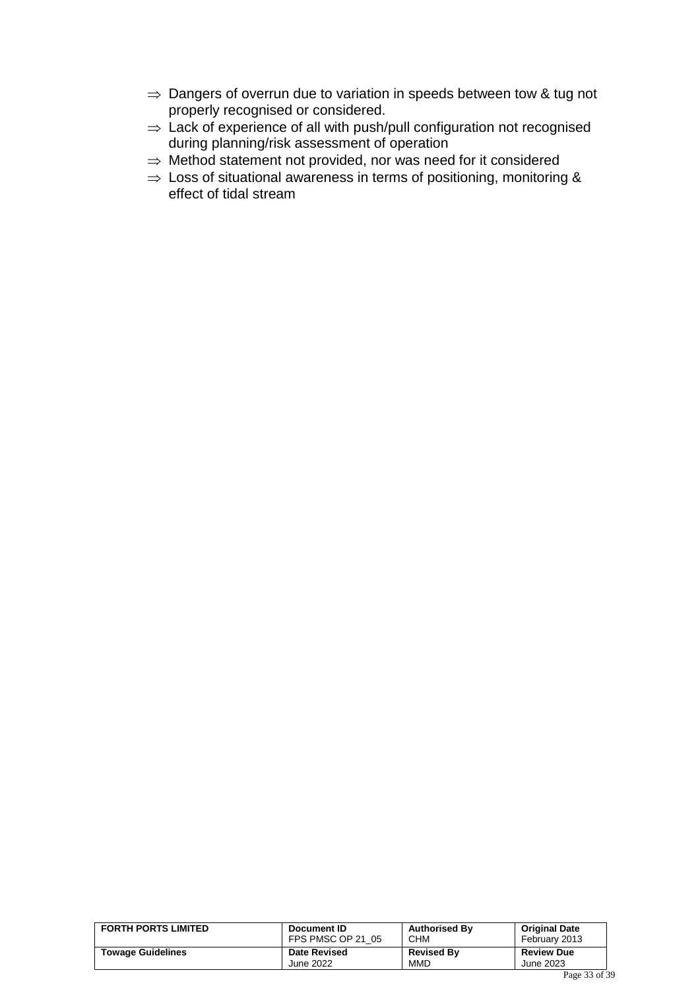- $\Rightarrow$  Dangers of overrun due to variation in speeds between tow & tug not properly recognised or considered.
- $\Rightarrow$  Lack of experience of all with push/pull configuration not recognised during planning/risk assessment of operation
- $\Rightarrow$  Method statement not provided, nor was need for it considered
- $\Rightarrow$  Loss of situational awareness in terms of positioning, monitoring & effect of tidal stream

| <b>FORTH PORTS LIMITED</b> | Document ID<br>FPS PMSC OP 21 05 | <b>Authorised By</b><br><b>CHM</b> | <b>Original Date</b><br>February 2013  |
|----------------------------|----------------------------------|------------------------------------|----------------------------------------|
| <b>Towage Guidelines</b>   | <b>Date Revised</b>              | <b>Revised By</b>                  | <b>Review Due</b>                      |
|                            | June 2022                        | <b>MMD</b>                         | June 2023                              |
|                            |                                  |                                    | $\mathbf{D}$ $\mathbf{D}$ $\mathbf{D}$ |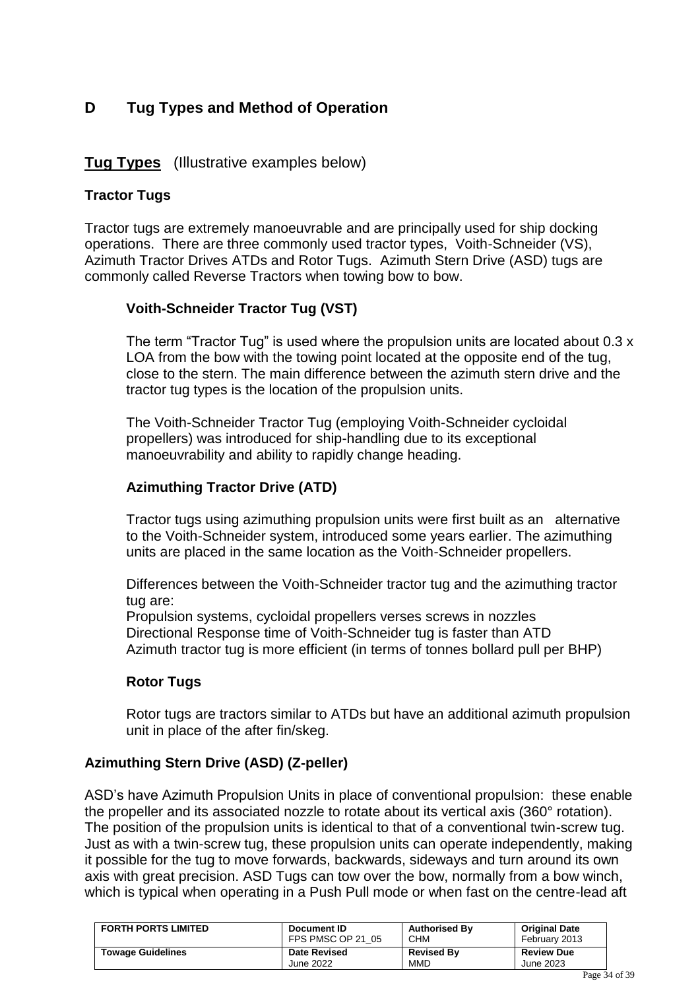### <span id="page-33-0"></span>**D Tug Types and Method of Operation**

### **Tug Types** (Illustrative examples below)

### **Tractor Tugs**

Tractor tugs are extremely manoeuvrable and are principally used for ship docking operations. There are three commonly used tractor types, Voith-Schneider (VS), Azimuth Tractor Drives ATDs and Rotor Tugs. Azimuth Stern Drive (ASD) tugs are commonly called Reverse Tractors when towing bow to bow.

### **Voith-Schneider Tractor Tug (VST)**

The term "Tractor Tug" is used where the propulsion units are located about 0.3 x LOA from the bow with the towing point located at the opposite end of the tug, close to the stern. The main difference between the azimuth stern drive and the tractor tug types is the location of the propulsion units.

The Voith-Schneider Tractor Tug (employing Voith-Schneider cycloidal propellers) was introduced for ship-handling due to its exceptional manoeuvrability and ability to rapidly change heading.

### **Azimuthing Tractor Drive (ATD)**

Tractor tugs using azimuthing propulsion units were first built as an alternative to the Voith-Schneider system, introduced some years earlier. The azimuthing units are placed in the same location as the Voith-Schneider propellers.

Differences between the Voith-Schneider tractor tug and the azimuthing tractor tug are:

Propulsion systems, cycloidal propellers verses screws in nozzles Directional Response time of Voith-Schneider tug is faster than ATD Azimuth tractor tug is more efficient (in terms of tonnes bollard pull per BHP)

### **Rotor Tugs**

Rotor tugs are tractors similar to ATDs but have an additional azimuth propulsion unit in place of the after fin/skeg.

### **Azimuthing Stern Drive (ASD) (Z-peller)**

ASD's have Azimuth Propulsion Units in place of conventional propulsion: these enable the propeller and its associated nozzle to rotate about its vertical axis (360° rotation). The position of the propulsion units is identical to that of a conventional twin-screw tug. Just as with a twin-screw tug, these propulsion units can operate independently, making it possible for the tug to move forwards, backwards, sideways and turn around its own axis with great precision. ASD Tugs can tow over the bow, normally from a bow winch, which is typical when operating in a Push Pull mode or when fast on the centre-lead aft

| <b>FORTH PORTS LIMITED</b> | Document ID         | <b>Authorised By</b> | <b>Original Date</b> |
|----------------------------|---------------------|----------------------|----------------------|
|                            | FPS PMSC OP 21 05   | <b>CHM</b>           | February 2013        |
| <b>Towage Guidelines</b>   | <b>Date Revised</b> | <b>Revised By</b>    | <b>Review Due</b>    |
|                            | June 2022           | <b>MMD</b>           | June 2023            |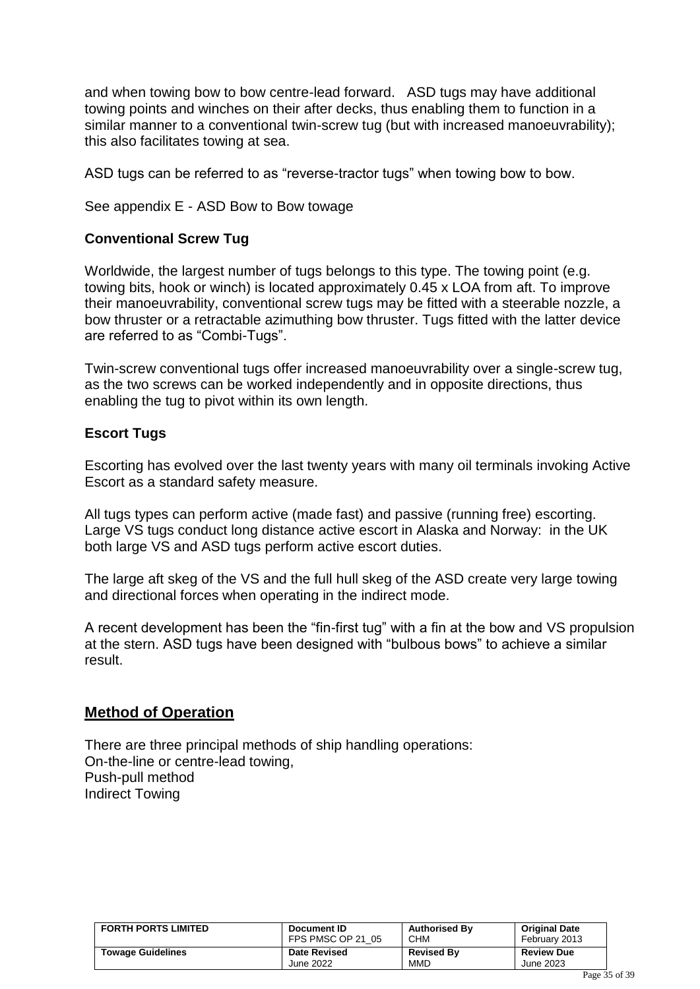and when towing bow to bow centre-lead forward. ASD tugs may have additional towing points and winches on their after decks, thus enabling them to function in a similar manner to a conventional twin-screw tug (but with increased manoeuvrability); this also facilitates towing at sea.

ASD tugs can be referred to as "reverse-tractor tugs" when towing bow to bow.

See appendix E - ASD Bow to Bow towage

### **Conventional Screw Tug**

Worldwide, the largest number of tugs belongs to this type. The towing point (e.g. towing bits, hook or winch) is located approximately 0.45 x LOA from aft. To improve their manoeuvrability, conventional screw tugs may be fitted with a steerable nozzle, a bow thruster or a retractable azimuthing bow thruster. Tugs fitted with the latter device are referred to as "Combi-Tugs".

Twin-screw conventional tugs offer increased manoeuvrability over a single-screw tug, as the two screws can be worked independently and in opposite directions, thus enabling the tug to pivot within its own length.

### **Escort Tugs**

Escorting has evolved over the last twenty years with many oil terminals invoking Active Escort as a standard safety measure.

All tugs types can perform active (made fast) and passive (running free) escorting. Large VS tugs conduct long distance active escort in Alaska and Norway: in the UK both large VS and ASD tugs perform active escort duties.

The large aft skeg of the VS and the full hull skeg of the ASD create very large towing and directional forces when operating in the indirect mode.

A recent development has been the "fin-first tug" with a fin at the bow and VS propulsion at the stern. ASD tugs have been designed with "bulbous bows" to achieve a similar result.

### **Method of Operation**

There are three principal methods of ship handling operations: On-the-line or centre-lead towing, Push-pull method Indirect Towing

| <b>FORTH PORTS LIMITED</b> | Document ID         | <b>Authorised By</b> | <b>Original Date</b> |
|----------------------------|---------------------|----------------------|----------------------|
|                            | FPS PMSC OP 21 05   | <b>CHM</b>           | February 2013        |
| <b>Towage Guidelines</b>   | <b>Date Revised</b> | <b>Revised By</b>    | <b>Review Due</b>    |
|                            | June 2022           | <b>MMD</b>           | June 2023            |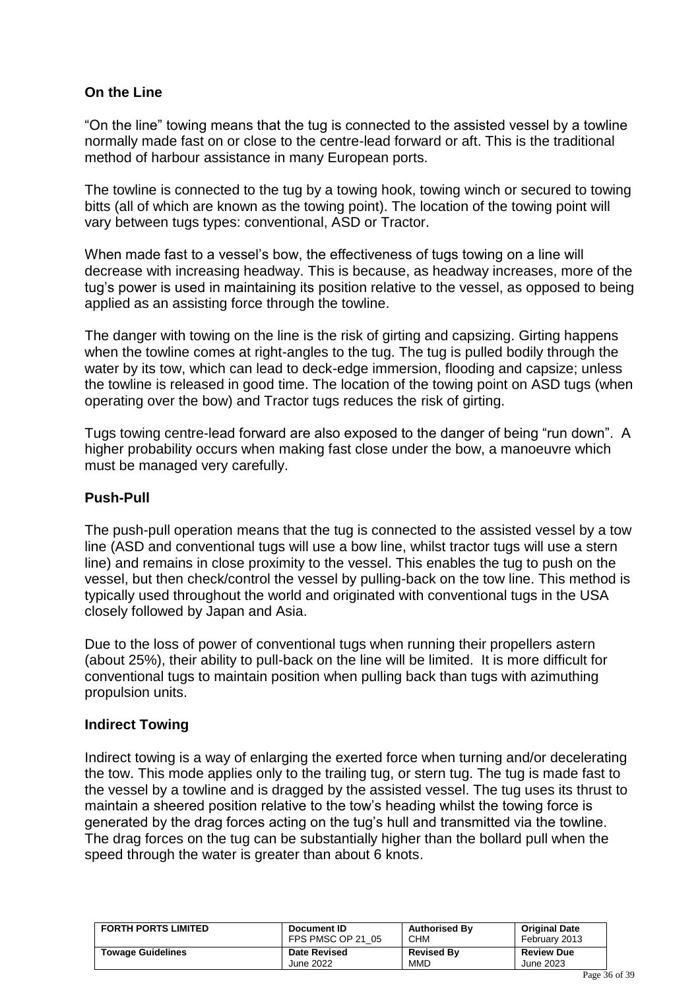### **On the Line**

"On the line" towing means that the tug is connected to the assisted vessel by a towline normally made fast on or close to the centre-lead forward or aft. This is the traditional method of harbour assistance in many European ports.

The towline is connected to the tug by a towing hook, towing winch or secured to towing bitts (all of which are known as the towing point). The location of the towing point will vary between tugs types: conventional, ASD or Tractor.

When made fast to a vessel's bow, the effectiveness of tugs towing on a line will decrease with increasing headway. This is because, as headway increases, more of the tug's power is used in maintaining its position relative to the vessel, as opposed to being applied as an assisting force through the towline.

The danger with towing on the line is the risk of girting and capsizing. Girting happens when the towline comes at right-angles to the tug. The tug is pulled bodily through the water by its tow, which can lead to deck-edge immersion, flooding and capsize; unless the towline is released in good time. The location of the towing point on ASD tugs (when operating over the bow) and Tractor tugs reduces the risk of girting.

Tugs towing centre-lead forward are also exposed to the danger of being "run down". A higher probability occurs when making fast close under the bow, a manoeuvre which must be managed very carefully.

### **Push-Pull**

The push-pull operation means that the tug is connected to the assisted vessel by a tow line (ASD and conventional tugs will use a bow line, whilst tractor tugs will use a stern line) and remains in close proximity to the vessel. This enables the tug to push on the vessel, but then check/control the vessel by pulling-back on the tow line. This method is typically used throughout the world and originated with conventional tugs in the USA closely followed by Japan and Asia.

Due to the loss of power of conventional tugs when running their propellers astern (about 25%), their ability to pull-back on the line will be limited. It is more difficult for conventional tugs to maintain position when pulling back than tugs with azimuthing propulsion units.

### **Indirect Towing**

Indirect towing is a way of enlarging the exerted force when turning and/or decelerating the tow. This mode applies only to the trailing tug, or stern tug. The tug is made fast to the vessel by a towline and is dragged by the assisted vessel. The tug uses its thrust to maintain a sheered position relative to the tow's heading whilst the towing force is generated by the drag forces acting on the tug's hull and transmitted via the towline. The drag forces on the tug can be substantially higher than the bollard pull when the speed through the water is greater than about 6 knots.

| <b>FORTH PORTS LIMITED</b> | Document ID         | <b>Authorised By</b> | <b>Original Date</b> |
|----------------------------|---------------------|----------------------|----------------------|
|                            | FPS PMSC OP 21 05   | CHM                  | February 2013        |
| <b>Towage Guidelines</b>   | <b>Date Revised</b> | <b>Revised By</b>    | <b>Review Due</b>    |
|                            | June 2022           | <b>MMD</b>           | June 2023            |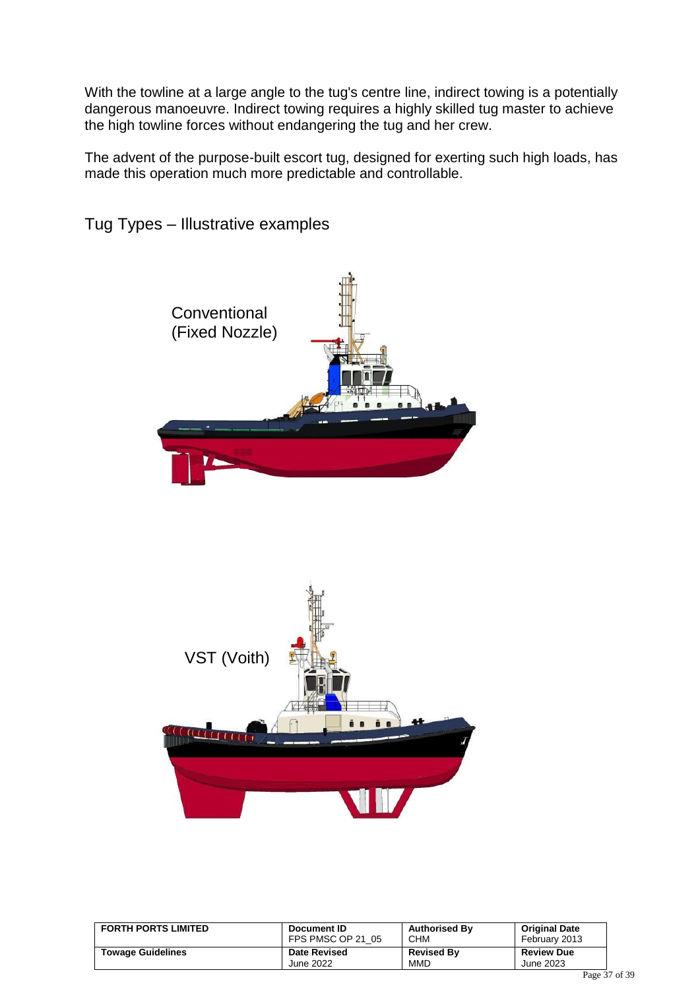With the towline at a large angle to the tug's centre line, indirect towing is a potentially dangerous manoeuvre. Indirect towing requires a highly skilled tug master to achieve the high towline forces without endangering the tug and her crew.

The advent of the purpose-built escort tug, designed for exerting such high loads, has made this operation much more predictable and controllable.



Tug Types – Illustrative examples



| <b>FORTH PORTS LIMITED</b> | Document ID         | <b>Authorised By</b> | <b>Original Date</b> |
|----------------------------|---------------------|----------------------|----------------------|
|                            | FPS PMSC OP 21 05   | <b>CHM</b>           | February 2013        |
| <b>Towage Guidelines</b>   | <b>Date Revised</b> | <b>Revised By</b>    | <b>Review Due</b>    |
|                            | June 2022           | <b>MMD</b>           | June 2023            |
|                            |                     |                      |                      |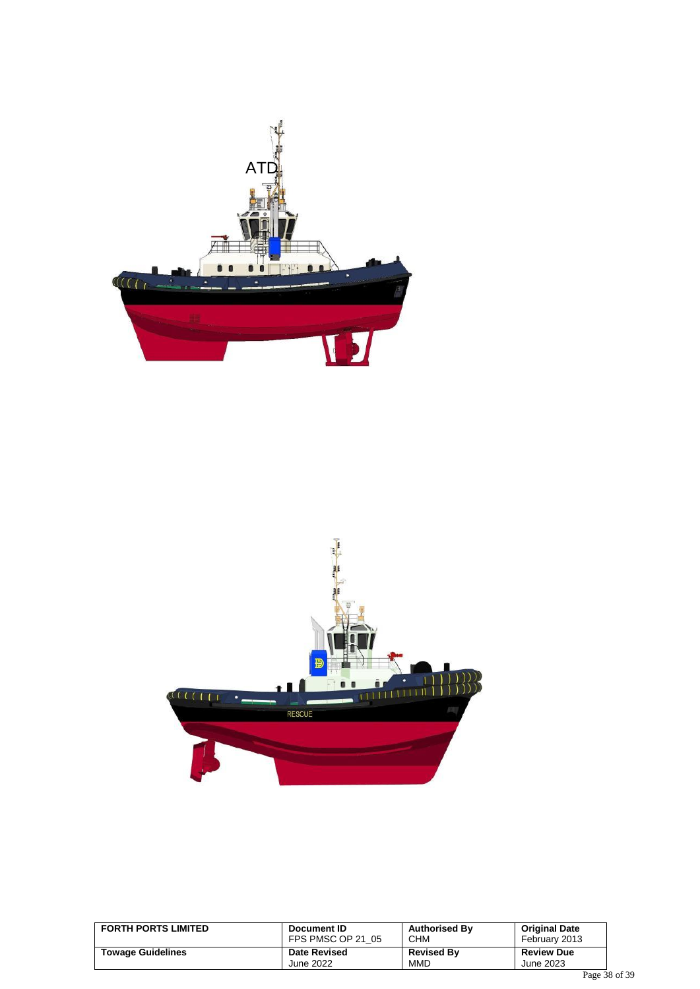



| <b>FORTH PORTS LIMITED</b> | Document ID         | <b>Authorised By</b> | <b>Original Date</b> |
|----------------------------|---------------------|----------------------|----------------------|
|                            | FPS PMSC OP 21 05   | <b>CHM</b>           | February 2013        |
| <b>Towage Guidelines</b>   | <b>Date Revised</b> | <b>Revised By</b>    | <b>Review Due</b>    |
|                            | June 2022           | <b>MMD</b>           | June 2023            |